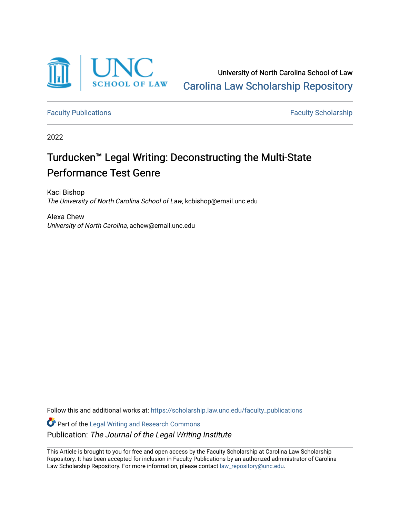

University of North Carolina School of Law [Carolina Law Scholarship Repository](https://scholarship.law.unc.edu/) 

[Faculty Publications](https://scholarship.law.unc.edu/faculty_publications) **Faculty Scholarship** 

2022

# Turducken™ Legal Writing: Deconstructing the Multi-State Performance Test Genre

Kaci Bishop The University of North Carolina School of Law, kcbishop@email.unc.edu

Alexa Chew University of North Carolina, achew@email.unc.edu

Follow this and additional works at: [https://scholarship.law.unc.edu/faculty\\_publications](https://scholarship.law.unc.edu/faculty_publications?utm_source=scholarship.law.unc.edu%2Ffaculty_publications%2F595&utm_medium=PDF&utm_campaign=PDFCoverPages)

Part of the [Legal Writing and Research Commons](https://network.bepress.com/hgg/discipline/614?utm_source=scholarship.law.unc.edu%2Ffaculty_publications%2F595&utm_medium=PDF&utm_campaign=PDFCoverPages)  Publication: The Journal of the Legal Writing Institute

This Article is brought to you for free and open access by the Faculty Scholarship at Carolina Law Scholarship Repository. It has been accepted for inclusion in Faculty Publications by an authorized administrator of Carolina Law Scholarship Repository. For more information, please contact [law\\_repository@unc.edu.](mailto:law_repository@unc.edu)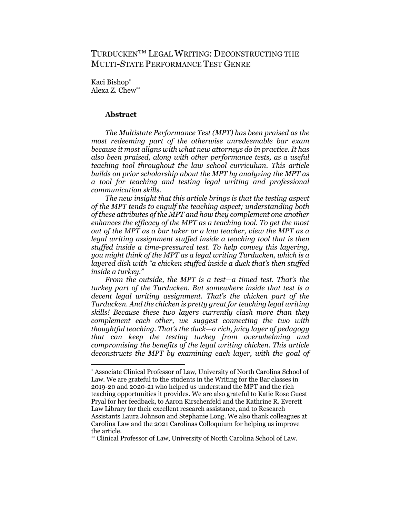# TURDUCKEN™ LEGAL WRITING: DECONSTRUCTING THE MULTI-STATE PERFORMANCE TEST GENRE

Kaci Bishop\* Alexa Z. Chew\*\*

# **Abstract**

*The Multistate Performance Test (MPT) has been praised as the most redeeming part of the otherwise unredeemable bar exam because it most aligns with what new attorneys do in practice. It has also been praised, along with other performance tests, as a useful teaching tool throughout the law school curriculum. This article builds on prior scholarship about the MPT by analyzing the MPT as a tool for teaching and testing legal writing and professional communication skills.* 

*The new insight that this article brings is that the testing aspect of the MPT tends to engulf the teaching aspect; understanding both of these attributes of the MPT and how they complement one another enhances the efficacy of the MPT as a teaching tool. To get the most out of the MPT as a bar taker or a law teacher, view the MPT as a legal writing assignment stuffed inside a teaching tool that is then stuffed inside a time-pressured test. To help convey this layering, you might think of the MPT as a legal writing Turducken, which is a layered dish with "a chicken stuffed inside a duck that's then stuffed inside a turkey."* 

*From the outside, the MPT is a test—a timed test. That's the turkey part of the Turducken. But somewhere inside that test is a decent legal writing assignment. That's the chicken part of the Turducken. And the chicken is pretty great for teaching legal writing skills! Because these two layers currently clash more than they complement each other, we suggest connecting the two with thoughtful teaching. That's the duck—a rich, juicy layer of pedagogy that can keep the testing turkey from overwhelming and compromising the benefits of the legal writing chicken. This article deconstructs the MPT by examining each layer, with the goal of* 

\*\* Clinical Professor of Law, University of North Carolina School of Law.

<sup>\*</sup> Associate Clinical Professor of Law, University of North Carolina School of Law. We are grateful to the students in the Writing for the Bar classes in 2019-20 and 2020-21 who helped us understand the MPT and the rich teaching opportunities it provides. We are also grateful to Katie Rose Guest Pryal for her feedback, to Aaron Kirschenfeld and the Kathrine R. Everett Law Library for their excellent research assistance, and to Research Assistants Laura Johnson and Stephanie Long. We also thank colleagues at Carolina Law and the 2021 Carolinas Colloquium for helping us improve the article.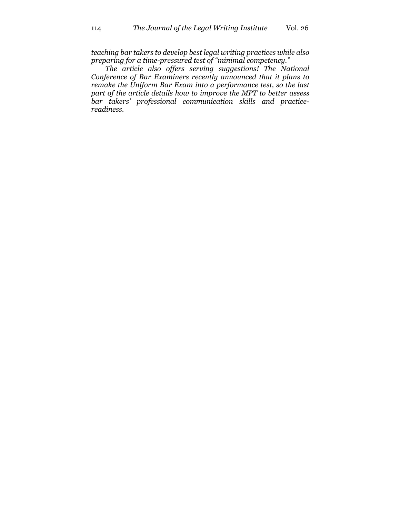*teaching bar takers to develop best legal writing practices while also preparing for a time-pressured test of "minimal competency."*

*The article also offers serving suggestions! The National Conference of Bar Examiners recently announced that it plans to remake the Uniform Bar Exam into a performance test, so the last part of the article details how to improve the MPT to better assess bar takers' professional communication skills and practicereadiness.*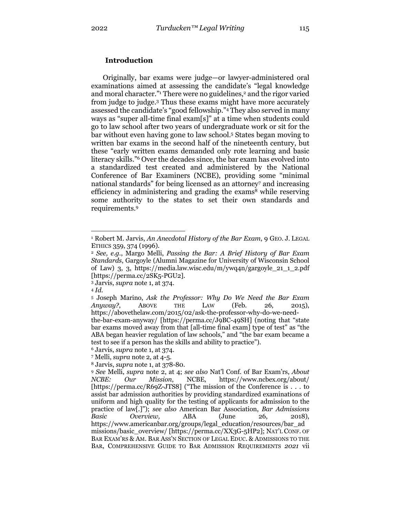# **Introduction**

Originally, bar exams were judge—or lawyer-administered oral examinations aimed at assessing the candidate's "legal knowledge and moral character."<sup>1</sup> There were no guidelines,<sup>2</sup> and the rigor varied from judge to judge.3 Thus these exams might have more accurately assessed the candidate's "good fellowship."4 They also served in many ways as "super all-time final exam[s]" at a time when students could go to law school after two years of undergraduate work or sit for the bar without even having gone to law school.5 States began moving to written bar exams in the second half of the nineteenth century, but these "early written exams demanded only rote learning and basic literacy skills."6 Over the decades since, the bar exam has evolved into a standardized test created and administered by the National Conference of Bar Examiners (NCBE), providing some "minimal national standards" for being licensed as an attorney<sup>7</sup> and increasing efficiency in administering and grading the exams<sup>8</sup> while reserving some authority to the states to set their own standards and requirements.9

test to see if a person has the skills and ability to practice").

<sup>1</sup> Robert M. Jarvis, *An Anecdotal History of the Bar Exam*, 9 GEO. J. LEGAL ETHICS 359, 374 (1996).

<sup>2</sup> *See, e.g.*, Margo Melli, *Passing the Bar: A Brief History of Bar Exam Standards*, Gargoyle (Alumni Magazine for University of Wisconsin School of Law) 3, 3, https://media.law.wisc.edu/m/ywq4n/gargoyle\_21\_1\_2.pdf [https://perma.cc/2SK5-PGU2].

<sup>3</sup> Jarvis, *supra* note 1, at 374.

<sup>4</sup> *Id.*

<sup>5</sup> Joseph Marino, *Ask the Professor: Why Do We Need the Bar Exam Anyway?*, ABOVE THE LAW (Feb. 26, 2015), https://abovethelaw.com/2015/02/ask-the-professor-why-do-we-needthe-bar-exam-anyway/ [https://perma.cc/J9BC-49SH] (noting that "state bar exams moved away from that [all-time final exam] type of test" as "the ABA began heavier regulation of law schools," and "the bar exam became a

<sup>6</sup> Jarvis, *supra* note 1, at 374.

<sup>7</sup> Melli, *supra* note 2, at 4-5.

<sup>8</sup> Jarvis, *supra* note 1, at 378-80.

<sup>9</sup> *See* Melli, *supra* note 2, at 4; *see also* Nat'l Conf. of Bar Exam'rs, *About NCBE: Our Mission*, NCBE, https://www.ncbex.org/about/ [https://perma.cc/R69Z-JTS8] ("The mission of the Conference is . . . to assist bar admission authorities by providing standardized examinations of uniform and high quality for the testing of applicants for admission to the practice of law[.]"); *see also* American Bar Association, *Bar Admissions Basic Overview,* ABA (June 26, 2018), https://www.americanbar.org/groups/legal\_education/resources/bar\_ad missions/basic\_overview/ [https://perma.cc/XX3G-5HP2]; NAT'L CONF. OF BAR EXAM'RS & AM. BAR ASS'N SECTION OF LEGAL EDUC. & ADMISSIONS TO THE BAR, COMPREHENSIVE GUIDE TO BAR ADMISSION REQUIREMENTS *2021* vii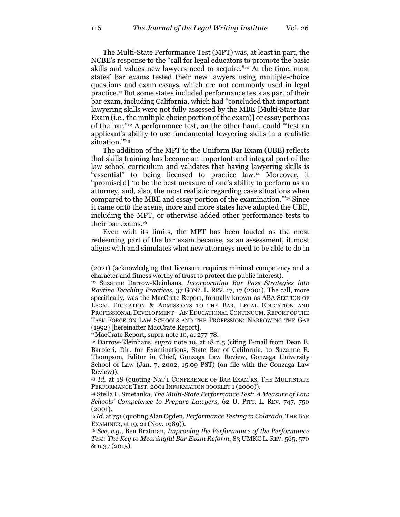The Multi-State Performance Test (MPT) was, at least in part, the NCBE's response to the "call for legal educators to promote the basic skills and values new lawyers need to acquire."10 At the time, most states' bar exams tested their new lawyers using multiple-choice questions and exam essays, which are not commonly used in legal practice.11 But some states included performance tests as part of their bar exam, including California, which had "concluded that important lawyering skills were not fully assessed by the MBE [Multi-State Bar Exam (i.e., the multiple choice portion of the exam)] or essay portions of the bar."12 A performance test, on the other hand, could "'test an applicant's ability to use fundamental lawyering skills in a realistic situation."<sup>13</sup>

The addition of the MPT to the Uniform Bar Exam (UBE) reflects that skills training has become an important and integral part of the law school curriculum and validates that having lawyering skills is "essential" to being licensed to practice law.14 Moreover, it "promise[d] 'to be the best measure of one's ability to perform as an attorney, and, also, the most realistic regarding case situations when compared to the MBE and essay portion of the examination.'"15 Since it came onto the scene, more and more states have adopted the UBE, including the MPT, or otherwise added other performance tests to their bar exams.16

Even with its limits, the MPT has been lauded as the most redeeming part of the bar exam because, as an assessment, it most aligns with and simulates what new attorneys need to be able to do in

<sup>(2021) (</sup>acknowledging that licensure requires minimal competency and a character and fitness worthy of trust to protect the public interest).

<sup>10</sup> Suzanne Darrow-Kleinhaus, *Incorporating Bar Pass Strategies into Routine Teaching Practices*, 37 GONZ. L. REV. 17, 17 (2001). The call, more specifically, was the MacCrate Report, formally known as ABA SECTION OF LEGAL EDUCATION & ADMISSIONS TO THE BAR, LEGAL EDUCATION AND PROFESSIONAL DEVELOPMENT—AN EDUCATIONAL CONTINUUM, REPORT OF THE TASK FORCE ON LAW SCHOOLS AND THE PROFESSION: NARROWING THE GAP (1992) [hereinafter MacCrate Report].

<sup>11</sup>MacCrate Report, supra note 10, at 277-78. 12 Darrow-Kleinhaus, *supra* note 10, at 18 n.5 (citing E-mail from Dean E. Barbieri, Dir. for Examinations, State Bar of California, to Suzanne E. Thompson, Editor in Chief, Gonzaga Law Review, Gonzaga University School of Law (Jan. 7, 2002, 15:09 PST) (on file with the Gonzaga Law Review)).

<sup>13</sup> *Id.* at 18 (quoting NAT'L CONFERENCE OF BAR EXAM'RS, THE MULTISTATE PERFORMANCE TEST: 2001 INFORMATION BOOKLET 1 (2000)).

<sup>14</sup> Stella L. Smetanka, *The Multi-State Performance Test: A Measure of Law Schools' Competence to Prepare Lawyers*, 62 U. PITT. L. REV. 747, 750 (2001).

<sup>15</sup> *Id.* at 751 (quoting Alan Ogden, *Performance Testing in Colorado*, THE BAR EXAMINER, at 19, 21 (Nov. 1989)).

<sup>16</sup> *See, e.g.*, Ben Bratman, *Improving the Performance of the Performance Test: The Key to Meaningful Bar Exam Reform*, 83 UMKC L. REV. 565, 570  $& \text{ n.37} \, (2015).$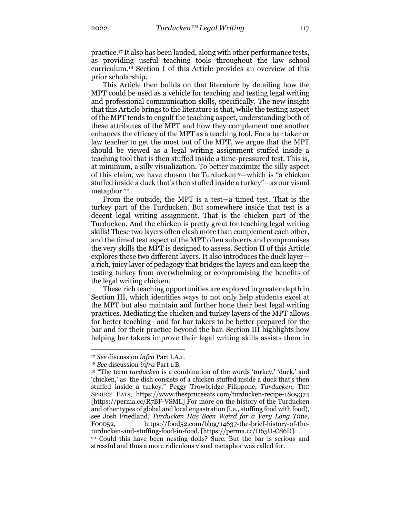practice.17 It also has been lauded, along with other performance tests, as providing useful teaching tools throughout the law school curriculum.18 Section I of this Article provides an overview of this prior scholarship.

This Article then builds on that literature by detailing how the MPT could be used as a vehicle for teaching and testing legal writing and professional communication skills, specifically. The new insight that this Article brings to the literature is that, while the testing aspect of the MPT tends to engulf the teaching aspect, understanding both of these attributes of the MPT and how they complement one another enhances the efficacy of the MPT as a teaching tool. For a bar taker or law teacher to get the most out of the MPT, we argue that the MPT should be viewed as a legal writing assignment stuffed inside a teaching tool that is then stuffed inside a time-pressured test. This is, at minimum, a silly visualization. To better maximize the silly aspect of this claim, we have chosen the Turducken19—which is "a chicken stuffed inside a duck that's then stuffed inside a turkey"—as our visual metaphor.<sup>20</sup>

From the outside, the MPT is a test—a timed test. That is the turkey part of the Turducken. But somewhere inside that test is a decent legal writing assignment. That is the chicken part of the Turducken. And the chicken is pretty great for teaching legal writing skills! These two layers often clash more than complement each other, and the timed test aspect of the MPT often subverts and compromises the very skills the MPT is designed to assess. Section II of this Article explores these two different layers. It also introduces the duck layer a rich, juicy layer of pedagogy that bridges the layers and can keep the testing turkey from overwhelming or compromising the benefits of the legal writing chicken.

These rich teaching opportunities are explored in greater depth in Section III, which identifies ways to not only help students excel at the MPT but also maintain and further hone their best legal writing practices. Mediating the chicken and turkey layers of the MPT allows for better teaching—and for bar takers to be better prepared for the bar and for their practice beyond the bar. Section III highlights how helping bar takers improve their legal writing skills assists them in

<sup>17</sup> *See* discussion *infra* Part I.A.1.

<sup>18</sup> *See* discussion *infra* Part 1.B.

<sup>19</sup> "The term *turducken* is a combination of the words 'turkey,' 'duck,' and 'chicken,' as the dish consists of a chicken stuffed inside a duck that's then stuffed inside a turkey." Peggy Trowbridge Filippone, *Turducken*, THE SPRUCE EATS, https://www.thespruceeats.com/turducken-recipe-1809374 [https://perma.cc/R7BF-VSML] For more on the history of the Turducken and other types of global and local engastration (i.e., stuffing food with food), see Josh Friedland, *Turducken Has Been Weird for a Very Long Time*, FOOD52, https://food52.com/blog/14637-the-brief-history-of-theturducken-and-stuffing-food-in-food, [https://perma.cc/D65U-C86D]. <sup>20</sup> Could this have been nesting dolls? Sure. But the bar is serious and stressful and thus a more ridiculous visual metaphor was called for.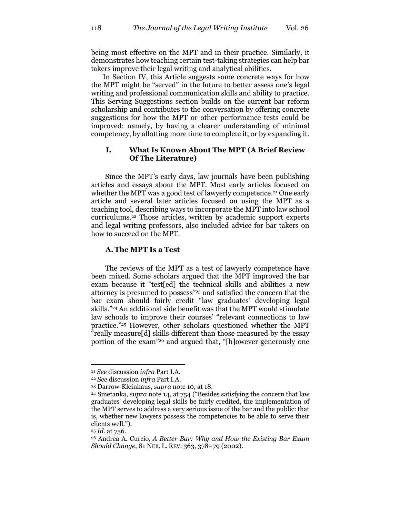being most effective on the MPT and in their practice. Similarly, it demonstrates how teaching certain test-taking strategies can help bar takers improve their legal writing and analytical abilities.

In Section IV, this Article suggests some concrete ways for how the MPT might be "served" in the future to better assess one's legal writing and professional communication skills and ability to practice. This Serving Suggestions section builds on the current bar reform scholarship and contributes to the conversation by offering concrete suggestions for how the MPT or other performance tests could be improved: namely, by having a clearer understanding of minimal competency, by allotting more time to complete it, or by expanding it.

# **I. What Is Known About The MPT (A Brief Review Of The Literature)**

Since the MPT's early days, law journals have been publishing articles and essays about the MPT. Most early articles focused on whether the MPT was a good test of lawyerly competence.<sup>21</sup> One early article and several later articles focused on using the MPT as a teaching tool, describing ways to incorporate the MPT into law school curriculums.22 Those articles, written by academic support experts and legal writing professors, also included advice for bar takers on how to succeed on the MPT.

#### **A. The MPT Is a Test**

The reviews of the MPT as a test of lawyerly competence have been mixed. Some scholars argued that the MPT improved the bar exam because it "test[ed] the technical skills and abilities a new attorney is presumed to possess"23 and satisfied the concern that the bar exam should fairly credit "law graduates' developing legal skills."24 An additional side benefit was that the MPT would stimulate law schools to improve their courses' "relevant connections to law practice."25 However, other scholars questioned whether the MPT "really measure[d] skills different than those measured by the essay portion of the exam"26 and argued that, "[h]owever generously one

<sup>21</sup> *See* discussion *infra* Part I.A.

<sup>22</sup> *See* discussion *infra* Part I.A.

<sup>23</sup> Darrow-Kleinhaus, *supra* note 10, at 18.

<sup>24</sup> Smetanka, *supra* note 14, at 754 ("Besides satisfying the concern that law graduates' developing legal skills be fairly credited, the implementation of the MPT serves to address a very serious issue of the bar and the public: that is, whether new lawyers possess the competencies to be able to serve their clients well.").

<sup>25</sup> *Id.* at 756.

<sup>26</sup> Andrea A. Curcio, *A Better Bar: Why and How the Existing Bar Exam Should Change*, 81 NEB. L. REV. 363, 378–79 (2002).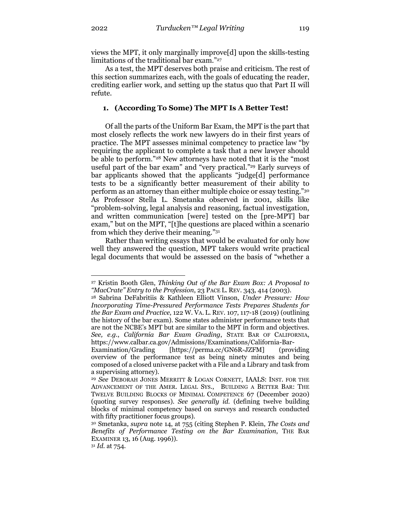views the MPT, it only marginally improve[d] upon the skills-testing limitations of the traditional bar exam."27

As a test, the MPT deserves both praise and criticism. The rest of this section summarizes each, with the goals of educating the reader, crediting earlier work, and setting up the status quo that Part II will refute.

# **1. (According To Some) The MPT Is A Better Test!**

Of all the parts of the Uniform Bar Exam, the MPT is the part that most closely reflects the work new lawyers do in their first years of practice. The MPT assesses minimal competency to practice law "by requiring the applicant to complete a task that a new lawyer should be able to perform."28 New attorneys have noted that it is the "most useful part of the bar exam" and "very practical."<sup>29</sup> Early surveys of bar applicants showed that the applicants "judge[d] performance tests to be a significantly better measurement of their ability to perform as an attorney than either multiple choice or essay testing."30 As Professor Stella L. Smetanka observed in 2001, skills like "problem-solving, legal analysis and reasoning, factual investigation, and written communication [were] tested on the [pre-MPT] bar exam," but on the MPT, "[t]he questions are placed within a scenario from which they derive their meaning."31

Rather than writing essays that would be evaluated for only how well they answered the question, MPT takers would write practical legal documents that would be assessed on the basis of "whether a

<sup>27</sup> Kristin Booth Glen, *Thinking Out of the Bar Exam Box: A Proposal to "MacCrate" Entry to the Profession*, 23 PACE L. REV. 343, 414 (2003).

<sup>28</sup> Sabrina DeFabritiis & Kathleen Elliott Vinson, *Under Pressure: How Incorporating Time-Pressured Performance Tests Prepares Students for the Bar Exam and Practice*, 122 W. VA. L. REV. 107, 117-18 (2019) (outlining the history of the bar exam). Some states administer performance tests that are not the NCBE's MPT but are similar to the MPT in form and objectives. *See, e.g.*, *California Bar Exam Grading*, STATE BAR OF CALIFORNIA, https://www.calbar.ca.gov/Admissions/Examinations/California-Bar-

Examination/Grading [https://perma.cc/GN6R-JZFM] (providing overview of the performance test as being ninety minutes and being composed of a closed universe packet with a File and a Library and task from a supervising attorney).

<sup>29</sup> *See* DEBORAH JONES MERRITT & LOGAN CORNETT, IAALS: INST. FOR THE ADVANCEMENT OF THE AMER. LEGAL SYS., BUILDING A BETTER BAR: THE TWELVE BUILDING BLOCKS OF MINIMAL COMPETENCE 67 (December 2020) (quoting survey responses). *See generally id.* (defining twelve building blocks of minimal competency based on surveys and research conducted with fifty practitioner focus groups).

<sup>30</sup> Smetanka, *supra* note 14, at 755 (citing Stephen P. Klein, *The Costs and Benefits of Performance Testing on the Bar Examination*, THE BAR EXAMINER 13, 16 (Aug. 1996)).

<sup>31</sup> *Id.* at 754.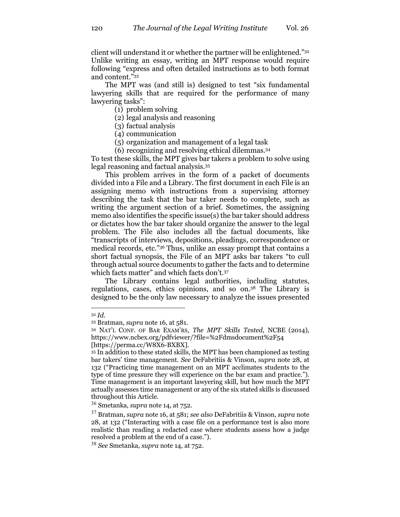client will understand it or whether the partner will be enlightened."32 Unlike writing an essay, writing an MPT response would require following "express and often detailed instructions as to both format and content."33

The MPT was (and still is) designed to test "six fundamental lawyering skills that are required for the performance of many lawyering tasks":

(1) problem solving

(2) legal analysis and reasoning

(3) factual analysis

(4) communication

(5) organization and management of a legal task

(6) recognizing and resolving ethical dilemmas.34

To test these skills, the MPT gives bar takers a problem to solve using legal reasoning and factual analysis.35

This problem arrives in the form of a packet of documents divided into a File and a Library. The first document in each File is an assigning memo with instructions from a supervising attorney describing the task that the bar taker needs to complete, such as writing the argument section of a brief. Sometimes, the assigning memo also identifies the specific issue(s) the bar taker should address or dictates how the bar taker should organize the answer to the legal problem. The File also includes all the factual documents, like "transcripts of interviews, depositions, pleadings, correspondence or medical records, etc."36 Thus, unlike an essay prompt that contains a short factual synopsis, the File of an MPT asks bar takers "to cull through actual source documents to gather the facts and to determine which facts matter" and which facts don't.37

The Library contains legal authorities, including statutes, regulations, cases, ethics opinions, and so on.38 The Library is designed to be the only law necessary to analyze the issues presented

[https://perma.cc/W8X6-BXBX].

<sup>32</sup> *Id.*

<sup>33</sup> Bratman, *supra* note 16, at 581.

<sup>34</sup> NAT'L CONF. OF BAR EXAM'RS, *The MPT Skills Tested*, NCBE (2014), https://www.ncbex.org/pdfviewer/?file=%2Fdmsdocument%2F54

<sup>&</sup>lt;sup>35</sup> In addition to these stated skills, the MPT has been championed as testing bar takers' time management. *See* DeFabritiis & Vinson, *supra* note 28, at 132 ("Practicing time management on an MPT acclimates students to the type of time pressure they will experience on the bar exam and practice."). Time management is an important lawyering skill, but how much the MPT actually assesses time management or any of the six stated skills is discussed throughout this Article.

<sup>36</sup> Smetanka, *supra* note 14, at 752.

<sup>37</sup> Bratman, *supra* note 16, at 581; *see also* DeFabritiis & Vinson, *supra* note 28, at 132 ("Interacting with a case file on a performance test is also more realistic than reading a redacted case where students assess how a judge resolved a problem at the end of a case.").

<sup>38</sup> *See* Smetanka, *supra* note 14, at 752.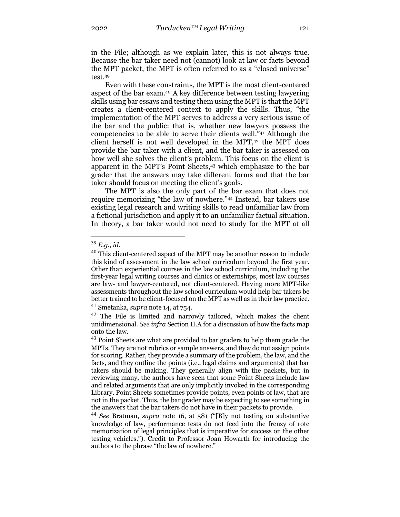in the File; although as we explain later, this is not always true. Because the bar taker need not (cannot) look at law or facts beyond the MPT packet, the MPT is often referred to as a "closed universe" test.39

Even with these constraints, the MPT is the most client-centered aspect of the bar exam.40 A key difference between testing lawyering skills using bar essays and testing them using the MPT is that the MPT creates a client-centered context to apply the skills. Thus, "the implementation of the MPT serves to address a very serious issue of the bar and the public: that is, whether new lawyers possess the competencies to be able to serve their clients well."41 Although the client herself is not well developed in the MPT,42 the MPT does provide the bar taker with a client, and the bar taker is assessed on how well she solves the client's problem. This focus on the client is apparent in the MPT's Point Sheets,43 which emphasize to the bar grader that the answers may take different forms and that the bar taker should focus on meeting the client's goals.

The MPT is also the only part of the bar exam that does not require memorizing "the law of nowhere."44 Instead, bar takers use existing legal research and writing skills to read unfamiliar law from a fictional jurisdiction and apply it to an unfamiliar factual situation. In theory, a bar taker would not need to study for the MPT at all

<sup>41</sup> Smetanka, *supra* note 14, at 754.

<sup>39</sup> *E.g.*, *id.*

 $40$  This client-centered aspect of the MPT may be another reason to include this kind of assessment in the law school curriculum beyond the first year. Other than experiential courses in the law school curriculum, including the first-year legal writing courses and clinics or externships, most law courses are law- and lawyer-centered, not client-centered. Having more MPT-like assessments throughout the law school curriculum would help bar takers be better trained to be client-focused on the MPT as well as in their law practice.

 $42$  The File is limited and narrowly tailored, which makes the client unidimensional. *See infra* Section II.A for a discussion of how the facts map onto the law.

<sup>&</sup>lt;sup>43</sup> Point Sheets are what are provided to bar graders to help them grade the MPTs. They are not rubrics or sample answers, and they do not assign points for scoring. Rather, they provide a summary of the problem, the law, and the facts, and they outline the points (i.e., legal claims and arguments) that bar takers should be making. They generally align with the packets, but in reviewing many, the authors have seen that some Point Sheets include law and related arguments that are only implicitly invoked in the corresponding Library. Point Sheets sometimes provide points, even points of law, that are not in the packet. Thus, the bar grader may be expecting to see something in the answers that the bar takers do not have in their packets to provide.

<sup>44</sup> *See* Bratman, *supra* note 16, at 581 ("[B]y not testing on substantive knowledge of law, performance tests do not feed into the frenzy of rote memorization of legal principles that is imperative for success on the other testing vehicles."). Credit to Professor Joan Howarth for introducing the authors to the phrase "the law of nowhere."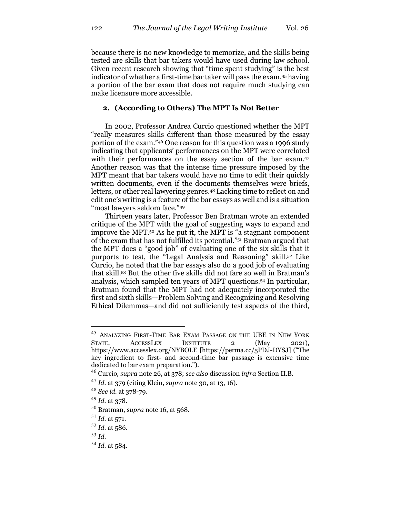because there is no new knowledge to memorize, and the skills being tested are skills that bar takers would have used during law school. Given recent research showing that "time spent studying" is the best indicator of whether a first-time bar taker will pass the exam,45 having a portion of the bar exam that does not require much studying can make licensure more accessible.

# **2. (According to Others) The MPT Is Not Better**

In 2002, Professor Andrea Curcio questioned whether the MPT "really measures skills different than those measured by the essay portion of the exam."46 One reason for this question was a 1996 study indicating that applicants' performances on the MPT were correlated with their performances on the essay section of the bar exam.<sup>47</sup> Another reason was that the intense time pressure imposed by the MPT meant that bar takers would have no time to edit their quickly written documents, even if the documents themselves were briefs, letters, or other real lawyering genres.48 Lacking time to reflect on and edit one's writing is a feature of the bar essays as well and is a situation "most lawyers seldom face."49

Thirteen years later, Professor Ben Bratman wrote an extended critique of the MPT with the goal of suggesting ways to expand and improve the MPT.50 As he put it, the MPT is "a stagnant component of the exam that has not fulfilled its potential."51 Bratman argued that the MPT does a "good job" of evaluating one of the six skills that it purports to test, the "Legal Analysis and Reasoning" skill.52 Like Curcio, he noted that the bar essays also do a good job of evaluating that skill.53 But the other five skills did not fare so well in Bratman's analysis, which sampled ten years of MPT questions.54 In particular, Bratman found that the MPT had not adequately incorporated the first and sixth skills—Problem Solving and Recognizing and Resolving Ethical Dilemmas—and did not sufficiently test aspects of the third,

<sup>45</sup> ANALYZING FIRST-TIME BAR EXAM PASSAGE ON THE UBE IN NEW YORK STATE, ACCESSLEX INSTITUTE 2 (May 2021), https://www.accesslex.org/NYBOLE [https://perma.cc/5PDJ-DYSJ] ("The key ingredient to first- and second-time bar passage is extensive time dedicated to bar exam preparation.").

<sup>46</sup> Curcio*, supra* note 26, at 378; *see also* discussion *infra* Section II.B.

<sup>47</sup> *Id.* at 379 (citing Klein, *supra* note 30, at 13, 16).

<sup>48</sup> *See id.* at 378-79.

<sup>49</sup> *Id.* at 378.

<sup>50</sup> Bratman, *supra* note 16, at 568.

<sup>51</sup> *Id.* at 571.

<sup>52</sup> *Id.* at 586.

<sup>53</sup> *Id.*

<sup>54</sup> *Id.* at 584.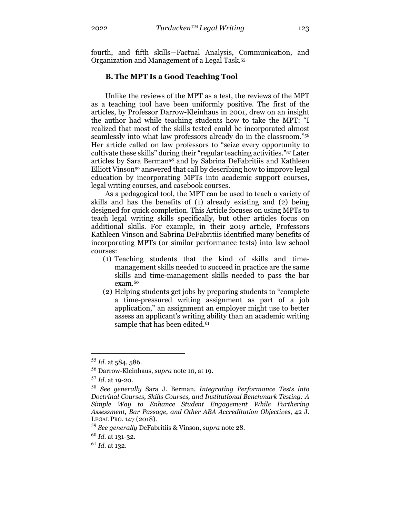fourth, and fifth skills—Factual Analysis, Communication, and Organization and Management of a Legal Task.55

# **B. The MPT Is a Good Teaching Tool**

Unlike the reviews of the MPT as a test, the reviews of the MPT as a teaching tool have been uniformly positive. The first of the articles, by Professor Darrow-Kleinhaus in 2001, drew on an insight the author had while teaching students how to take the MPT: "I realized that most of the skills tested could be incorporated almost seamlessly into what law professors already do in the classroom."56 Her article called on law professors to "seize every opportunity to cultivate these skills" during their "regular teaching activities."57 Later articles by Sara Berman58 and by Sabrina DeFabritiis and Kathleen Elliott Vinson59 answered that call by describing how to improve legal education by incorporating MPTs into academic support courses, legal writing courses, and casebook courses.

As a pedagogical tool, the MPT can be used to teach a variety of skills and has the benefits of (1) already existing and (2) being designed for quick completion. This Article focuses on using MPTs to teach legal writing skills specifically, but other articles focus on additional skills. For example, in their 2019 article, Professors Kathleen Vinson and Sabrina DeFabritiis identified many benefits of incorporating MPTs (or similar performance tests) into law school courses:

- (1) Teaching students that the kind of skills and timemanagement skills needed to succeed in practice are the same skills and time-management skills needed to pass the bar exam.60
- (2) Helping students get jobs by preparing students to "complete a time-pressured writing assignment as part of a job application," an assignment an employer might use to better assess an applicant's writing ability than an academic writing sample that has been edited.<sup>61</sup>

<sup>55</sup> *Id.* at 584, 586.

<sup>56</sup> Darrow-Kleinhaus, *supra* note 10, at 19.

<sup>57</sup> *Id.* at 19-20.

<sup>58</sup> *See generally* Sara J. Berman, *Integrating Performance Tests into Doctrinal Courses, Skills Courses, and Institutional Benchmark Testing: A Simple Way to Enhance Student Engagement While Furthering Assessment, Bar Passage, and Other ABA Accreditation Objectives*, 42 J. LEGAL PRO. 147 (2018).

<sup>59</sup> *See generally* DeFabritiis & Vinson, *supra* note 28.

<sup>60</sup> *Id.* at 131-32.

<sup>61</sup> *Id.* at 132.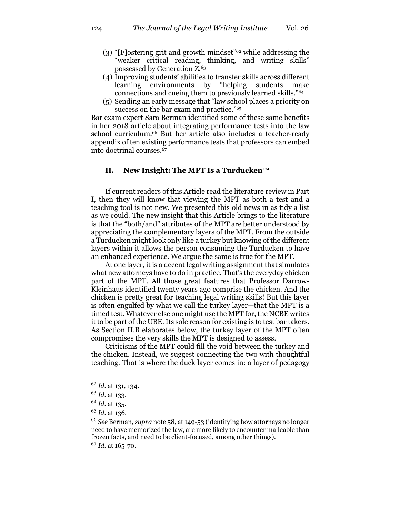- (3) "[F]ostering grit and growth mindset"62 while addressing the "weaker critical reading, thinking, and writing skills" possessed by Generation Z.63
- (4) Improving students' abilities to transfer skills across different learning environments by "helping students make connections and cueing them to previously learned skills."64
- (5) Sending an early message that "law school places a priority on success on the bar exam and practice."<sup>65</sup>

Bar exam expert Sara Berman identified some of these same benefits in her 2018 article about integrating performance tests into the law school curriculum.66 But her article also includes a teacher-ready appendix of ten existing performance tests that professors can embed into doctrinal courses.67

# **II. New Insight: The MPT Is a Turducken™**

If current readers of this Article read the literature review in Part I, then they will know that viewing the MPT as both a test and a teaching tool is not new. We presented this old news in as tidy a list as we could. The new insight that this Article brings to the literature is that the "both/and" attributes of the MPT are better understood by appreciating the complementary layers of the MPT. From the outside a Turducken might look only like a turkey but knowing of the different layers within it allows the person consuming the Turducken to have an enhanced experience. We argue the same is true for the MPT.

At one layer, it is a decent legal writing assignment that simulates what new attorneys have to do in practice. That's the everyday chicken part of the MPT. All those great features that Professor Darrow-Kleinhaus identified twenty years ago comprise the chicken. And the chicken is pretty great for teaching legal writing skills! But this layer is often engulfed by what we call the turkey layer—that the MPT is a timed test. Whatever else one might use the MPT for, the NCBE writes it to be part of the UBE. Its sole reason for existing is to test bar takers. As Section II.B elaborates below, the turkey layer of the MPT often compromises the very skills the MPT is designed to assess.

Criticisms of the MPT could fill the void between the turkey and the chicken. Instead, we suggest connecting the two with thoughtful teaching. That is where the duck layer comes in: a layer of pedagogy

<sup>62</sup> *Id.* at 131, 134.

<sup>63</sup> *Id.* at 133.

<sup>64</sup> *Id.* at 135.

<sup>65</sup> *Id.* at 136.

<sup>66</sup> *See* Berman, *supra* note 58, at 149-53 (identifying how attorneys no longer need to have memorized the law, are more likely to encounter malleable than frozen facts, and need to be client-focused, among other things).

<sup>67</sup> *Id.* at 165-70.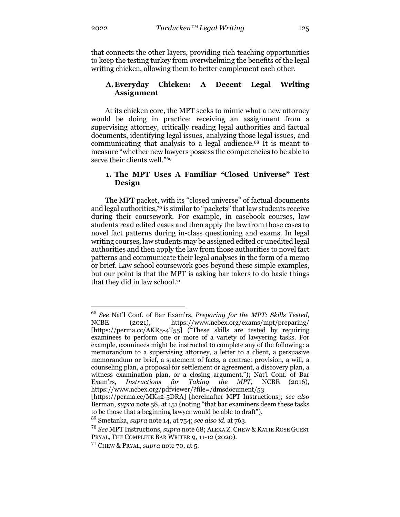that connects the other layers, providing rich teaching opportunities to keep the testing turkey from overwhelming the benefits of the legal writing chicken, allowing them to better complement each other.

# **A.Everyday Chicken: A Decent Legal Writing Assignment**

At its chicken core, the MPT seeks to mimic what a new attorney would be doing in practice: receiving an assignment from a supervising attorney, critically reading legal authorities and factual documents, identifying legal issues, analyzing those legal issues, and communicating that analysis to a legal audience.68 It is meant to measure "whether new lawyers possess the competencies to be able to serve their clients well."69

## **1. The MPT Uses A Familiar "Closed Universe" Test Design**

The MPT packet, with its "closed universe" of factual documents and legal authorities,70 is similar to "packets" that law students receive during their coursework. For example, in casebook courses, law students read edited cases and then apply the law from those cases to novel fact patterns during in-class questioning and exams. In legal writing courses, law students may be assigned edited or unedited legal authorities and then apply the law from those authorities to novel fact patterns and communicate their legal analyses in the form of a memo or brief. Law school coursework goes beyond these simple examples, but our point is that the MPT is asking bar takers to do basic things that they did in law school.71

<sup>68</sup> *See* Nat'l Conf. of Bar Exam'rs, *Preparing for the MPT: Skills Tested*, NCBE (2021), https://www.ncbex.org/exams/mpt/preparing/ [https://perma.cc/AKR5-4T55] ("These skills are tested by requiring examinees to perform one or more of a variety of lawyering tasks. For example, examinees might be instructed to complete any of the following: a memorandum to a supervising attorney, a letter to a client, a persuasive memorandum or brief, a statement of facts, a contract provision, a will, a counseling plan, a proposal for settlement or agreement, a discovery plan, a witness examination plan, or a closing argument."); Nat'l Conf. of Bar Exam'rs, *Instructions for Taking the MPT*, NCBE (2016), https://www.ncbex.org/pdfviewer/?file=/dmsdocument/53

<sup>[</sup>https://perma.cc/MK42-5DRA] [hereinafter MPT Instructions]; *see also* Berman, *supra* note 58, at 151 (noting "that bar examiners deem these tasks to be those that a beginning lawyer would be able to draft").

<sup>69</sup> Smetanka, *supra* note 14, at 754; *see also id.* at 763.

<sup>70</sup> *See* MPT Instructions, *supra* note 68; ALEXA Z. CHEW & KATIE ROSE GUEST PRYAL, THE COMPLETE BAR WRITER 9, 11-12 (2020).

<sup>71</sup> CHEW & PRYAL, *supra* note 70, at 5.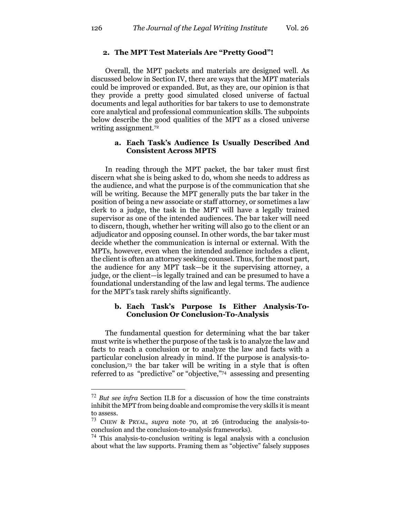## **2. The MPT Test Materials Are "Pretty Good"!**

Overall, the MPT packets and materials are designed well. As discussed below in Section IV, there are ways that the MPT materials could be improved or expanded. But, as they are, our opinion is that they provide a pretty good simulated closed universe of factual documents and legal authorities for bar takers to use to demonstrate core analytical and professional communication skills. The subpoints below describe the good qualities of the MPT as a closed universe writing assignment.72

# **a. Each Task's Audience Is Usually Described And Consistent Across MPTS**

In reading through the MPT packet, the bar taker must first discern what she is being asked to do, whom she needs to address as the audience, and what the purpose is of the communication that she will be writing. Because the MPT generally puts the bar taker in the position of being a new associate or staff attorney, or sometimes a law clerk to a judge, the task in the MPT will have a legally trained supervisor as one of the intended audiences. The bar taker will need to discern, though, whether her writing will also go to the client or an adjudicator and opposing counsel. In other words, the bar taker must decide whether the communication is internal or external. With the MPTs, however, even when the intended audience includes a client, the client is often an attorney seeking counsel. Thus, for the most part, the audience for any MPT task—be it the supervising attorney, a judge, or the client—is legally trained and can be presumed to have a foundational understanding of the law and legal terms. The audience for the MPT's task rarely shifts significantly.

# **b. Each Task's Purpose Is Either Analysis-To-Conclusion Or Conclusion-To-Analysis**

The fundamental question for determining what the bar taker must write is whether the purpose of the task is to analyze the law and facts to reach a conclusion or to analyze the law and facts with a particular conclusion already in mind. If the purpose is analysis-toconclusion,73 the bar taker will be writing in a style that is often referred to as "predictive" or "objective,"74 assessing and presenting

<sup>72</sup> *But see infra* Section II.B for a discussion of how the time constraints inhibit the MPT from being doable and compromise the very skills it is meant to assess.

<sup>73</sup> CHEW & PRYAL, *supra* note 70, at 26 (introducing the analysis-toconclusion and the conclusion-to-analysis frameworks).

<sup>74</sup> This analysis-to-conclusion writing is legal analysis with a conclusion about what the law supports. Framing them as "objective" falsely supposes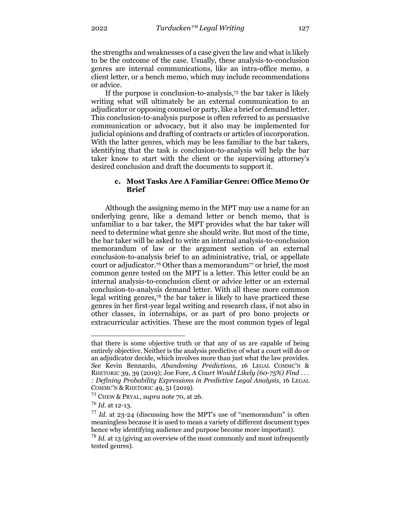the strengths and weaknesses of a case given the law and what is likely to be the outcome of the case. Usually, these analysis-to-conclusion genres are internal communications, like an intra-office memo, a client letter, or a bench memo, which may include recommendations or advice.

If the purpose is conclusion-to-analysis,75 the bar taker is likely writing what will ultimately be an external communication to an adjudicator or opposing counsel or party, like a brief or demand letter. This conclusion-to-analysis purpose is often referred to as persuasive communication or advocacy, but it also may be implemented for judicial opinions and drafting of contracts or articles of incorporation. With the latter genres, which may be less familiar to the bar takers, identifying that the task is conclusion-to-analysis will help the bar taker know to start with the client or the supervising attorney's desired conclusion and draft the documents to support it.

# **c. Most Tasks Are A Familiar Genre: Office Memo Or Brief**

Although the assigning memo in the MPT may use a name for an underlying genre, like a demand letter or bench memo, that is unfamiliar to a bar taker, the MPT provides what the bar taker will need to determine what genre she should write. But most of the time, the bar taker will be asked to write an internal analysis-to-conclusion memorandum of law or the argument section of an external conclusion-to-analysis brief to an administrative, trial, or appellate court or adjudicator.76 Other than a memorandum77 or brief, the most common genre tested on the MPT is a letter. This letter could be an internal analysis-to-conclusion client or advice letter or an external conclusion-to-analysis demand letter. With all these more common legal writing genres,78 the bar taker is likely to have practiced these genres in her first-year legal writing and research class, if not also in other classes, in internships, or as part of pro bono projects or extracurricular activities. These are the most common types of legal

that there is some objective truth or that any of us are capable of being entirely objective. Neither is the analysis predictive of what a court will do or an adjudicator decide, which involves more than just what the law provides. *See* Kevin Bennardo, *Abandoning Predictions*, 16 LEGAL COMMC'N & RHETORIC 39, 39 (2019); Joe Fore, *A Court Would Likely (60-75%) Find . . . : Defining Probability Expressions in Predictive Legal Analysis*, 16 LEGAL COMMC'N & RHETORIC 49, 51 (2019).

<sup>75</sup> CHEW & PRYAL, *supra* note 70, at 26.

<sup>76</sup> *Id.* at 12-13.

<sup>77</sup> *Id.* at 23-24 (discussing how the MPT's use of "memorandum" is often meaningless because it is used to mean a variety of different document types hence why identifying audience and purpose become more important).

<sup>78</sup> *Id.* at 13 (giving an overview of the most commonly and most infrequently tested genres).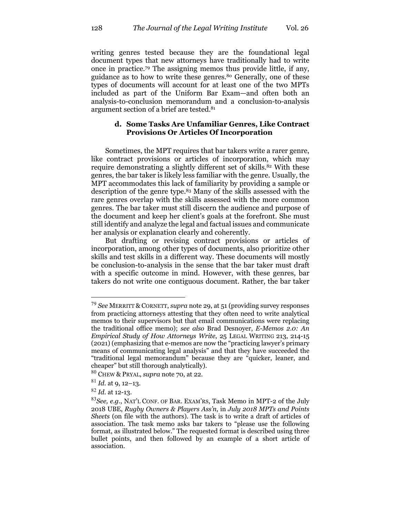writing genres tested because they are the foundational legal document types that new attorneys have traditionally had to write once in practice.79 The assigning memos thus provide little, if any, guidance as to how to write these genres.80 Generally, one of these types of documents will account for at least one of the two MPTs included as part of the Uniform Bar Exam—and often both an analysis-to-conclusion memorandum and a conclusion-to-analysis argument section of a brief are tested.81

# **d. Some Tasks Are Unfamiliar Genres, Like Contract Provisions Or Articles Of Incorporation**

Sometimes, the MPT requires that bar takers write a rarer genre, like contract provisions or articles of incorporation, which may require demonstrating a slightly different set of skills.<sup>82</sup> With these genres, the bar taker is likely less familiar with the genre. Usually, the MPT accommodates this lack of familiarity by providing a sample or description of the genre type.83 Many of the skills assessed with the rare genres overlap with the skills assessed with the more common genres. The bar taker must still discern the audience and purpose of the document and keep her client's goals at the forefront. She must still identify and analyze the legal and factual issues and communicate her analysis or explanation clearly and coherently.

But drafting or revising contract provisions or articles of incorporation, among other types of documents, also prioritize other skills and test skills in a different way. These documents will mostly be conclusion-to-analysis in the sense that the bar taker must draft with a specific outcome in mind. However, with these genres, bar takers do not write one contiguous document. Rather, the bar taker

<sup>79</sup> *See* MERRITT & CORNETT, *supra* note 29, at 51 (providing survey responses from practicing attorneys attesting that they often need to write analytical memos to their supervisors but that email communications were replacing the traditional office memo); *see also* Brad Desnoyer, *E-Memos 2.0: An Empirical Study of How Attorneys Write*, 25 LEGAL WRITING 213, 214-15 (2021) (emphasizing that e-memos are now the "practicing lawyer's primary means of communicating legal analysis" and that they have succeeded the "traditional legal memorandum" because they are "quicker, leaner, and cheaper" but still thorough analytically).

<sup>80</sup> CHEW & PRYAL, *supra* note 70, at 22.

 $81$  *Id.* at 9, 12–13.

<sup>82</sup> *Id.* at 12-13.

<sup>83</sup>*See, e.g.*, NAT'L CONF. OF BAR. EXAM'RS, Task Memo in MPT-2 of the July 2018 UBE, *Rugby Owners & Players Ass'n*, in *July 2018 MPTs and Points Sheets* (on file with the authors). The task is to write a draft of articles of association. The task memo asks bar takers to "please use the following format, as illustrated below." The requested format is described using three bullet points, and then followed by an example of a short article of association.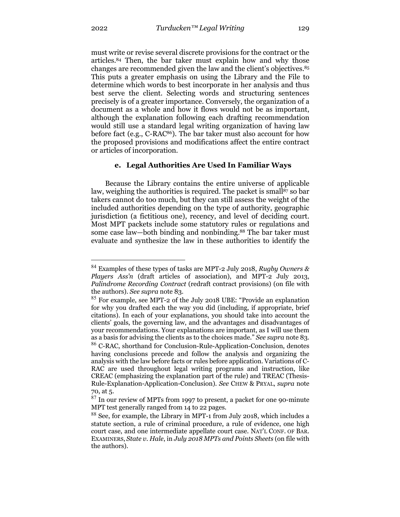must write or revise several discrete provisions for the contract or the articles.84 Then, the bar taker must explain how and why those changes are recommended given the law and the client's objectives.85 This puts a greater emphasis on using the Library and the File to determine which words to best incorporate in her analysis and thus best serve the client. Selecting words and structuring sentences precisely is of a greater importance. Conversely, the organization of a document as a whole and how it flows would not be as important, although the explanation following each drafting recommendation would still use a standard legal writing organization of having law before fact (e.g., C-RAC86). The bar taker must also account for how the proposed provisions and modifications affect the entire contract

#### **e. Legal Authorities Are Used In Familiar Ways**

Because the Library contains the entire universe of applicable law, weighing the authorities is required. The packet is small<sup>87</sup> so bar takers cannot do too much, but they can still assess the weight of the included authorities depending on the type of authority, geographic jurisdiction (a fictitious one), recency, and level of deciding court. Most MPT packets include some statutory rules or regulations and some case law—both binding and nonbinding.88 The bar taker must evaluate and synthesize the law in these authorities to identify the

or articles of incorporation.

<sup>84</sup> Examples of these types of tasks are MPT-2 July 2018, *Rugby Owners & Players Ass'n* (draft articles of association), and MPT-2 July 2013, *Palindrome Recording Contract* (redraft contract provisions) (on file with the authors). *See supra* note 83.

<sup>85</sup> For example, see MPT-2 of the July 2018 UBE: "Provide an explanation for why you drafted each the way you did (including, if appropriate, brief citations). In each of your explanations, you should take into account the clients' goals, the governing law, and the advantages and disadvantages of your recommendations. Your explanations are important, as I will use them as a basis for advising the clients as to the choices made." *See supra* note 83. <sup>86</sup> C-RAC, shorthand for Conclusion-Rule-Application-Conclusion, denotes having conclusions precede and follow the analysis and organizing the analysis with the law before facts or rules before application. Variations of C-RAC are used throughout legal writing programs and instruction, like CREAC (emphasizing the explanation part of the rule) and TREAC (Thesis-Rule-Explanation-Application-Conclusion). *See* CHEW & PRYAL, *supra* note 70, at 5.

<sup>&</sup>lt;sup>87</sup> In our review of MPTs from 1997 to present, a packet for one 90-minute MPT test generally ranged from 14 to 22 pages.

<sup>&</sup>lt;sup>88</sup> See, for example, the Library in MPT-1 from July 2018, which includes a statute section, a rule of criminal procedure, a rule of evidence, one high court case, and one intermediate appellate court case. NAT'L CONF. OF BAR. EXAMINERS, *State v. Hale*, in *July 2018 MPTs and Points Sheets* (on file with the authors).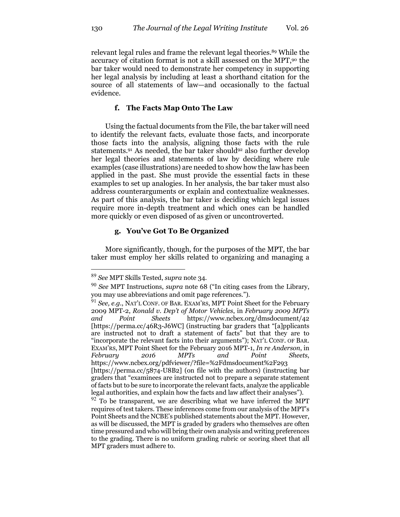relevant legal rules and frame the relevant legal theories.89 While the accuracy of citation format is not a skill assessed on the MPT,<sup>90</sup> the bar taker would need to demonstrate her competency in supporting her legal analysis by including at least a shorthand citation for the source of all statements of law—and occasionally to the factual evidence.

# **f. The Facts Map Onto The Law**

Using the factual documents from the File, the bar taker will need to identify the relevant facts, evaluate those facts, and incorporate those facts into the analysis, aligning those facts with the rule statements.<sup>91</sup> As needed, the bar taker should<sup>92</sup> also further develop her legal theories and statements of law by deciding where rule examples (case illustrations) are needed to show how the law has been applied in the past. She must provide the essential facts in these examples to set up analogies. In her analysis, the bar taker must also address counterarguments or explain and contextualize weaknesses. As part of this analysis, the bar taker is deciding which legal issues require more in-depth treatment and which ones can be handled more quickly or even disposed of as given or uncontroverted.

# **g. You've Got To Be Organized**

More significantly, though, for the purposes of the MPT, the bar taker must employ her skills related to organizing and managing a

<sup>89</sup> *See* MPT Skills Tested, *supra* note 34.

<sup>90</sup> *See* MPT Instructions, *supra* note 68 ("In citing cases from the Library, you may use abbreviations and omit page references.").

<sup>91</sup> *See, e.g.*, NAT'L CONF. OF BAR. EXAM'RS, MPT Point Sheet for the February 2009 MPT-2, *Ronald v. Dep't of Motor Vehicles*, in *February 2009 MPTs and Point Sheets* https://www.ncbex.org/dmsdocument/42 [https://perma.cc/46R3-J6WC] (instructing bar graders that "[a]pplicants are instructed not to draft a statement of facts" but that they are to "incorporate the relevant facts into their arguments"); NAT'L CONF. OF BAR. EXAM'RS, MPT Point Sheet for the February 2016 MPT-1, *In re Anderson*, in *February 2016 MPTs and Point Sheets*, https://www.ncbex.org/pdfviewer/?file=%2Fdmsdocument%2F293 [https://perma.cc/5874-U8B2] (on file with the authors) (instructing bar graders that "examinees are instructed not to prepare a separate statement of facts but to be sure to incorporate the relevant facts, analyze the applicable legal authorities, and explain how the facts and law affect their analyses").  $92$  To be transparent, we are describing what we have inferred the MPT requires of test takers. These inferences come from our analysis of the MPT's Point Sheets and the NCBE's published statements about the MPT. However, as will be discussed, the MPT is graded by graders who themselves are often time pressured and who will bring their own analysis and writing preferences to the grading. There is no uniform grading rubric or scoring sheet that all

MPT graders must adhere to.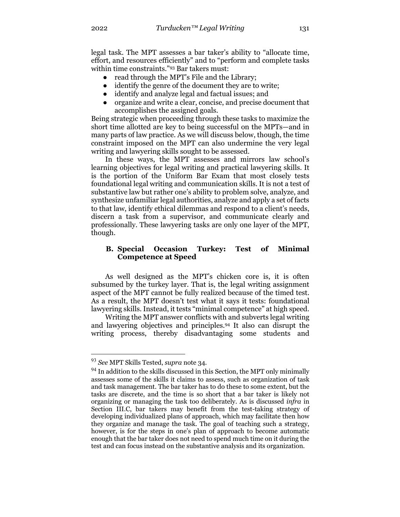legal task. The MPT assesses a bar taker's ability to "allocate time, effort, and resources efficiently" and to "perform and complete tasks within time constraints."93 Bar takers must:

- read through the MPT's File and the Library;
- identify the genre of the document they are to write;
- identify and analyze legal and factual issues; and
- organize and write a clear, concise, and precise document that accomplishes the assigned goals.

Being strategic when proceeding through these tasks to maximize the short time allotted are key to being successful on the MPTs—and in many parts of law practice. As we will discuss below, though, the time constraint imposed on the MPT can also undermine the very legal writing and lawyering skills sought to be assessed.

In these ways, the MPT assesses and mirrors law school's learning objectives for legal writing and practical lawyering skills. It is the portion of the Uniform Bar Exam that most closely tests foundational legal writing and communication skills. It is not a test of substantive law but rather one's ability to problem solve, analyze, and synthesize unfamiliar legal authorities, analyze and apply a set of facts to that law, identify ethical dilemmas and respond to a client's needs, discern a task from a supervisor, and communicate clearly and professionally. These lawyering tasks are only one layer of the MPT, though.

# **B. Special Occasion Turkey: Test of Minimal Competence at Speed**

As well designed as the MPT's chicken core is, it is often subsumed by the turkey layer. That is, the legal writing assignment aspect of the MPT cannot be fully realized because of the timed test. As a result, the MPT doesn't test what it says it tests: foundational lawyering skills. Instead, it tests "minimal competence" at high speed.

Writing the MPT answer conflicts with and subverts legal writing and lawyering objectives and principles.94 It also can disrupt the writing process, thereby disadvantaging some students and

<sup>93</sup> *See* MPT Skills Tested, *supra* note 34.

 $94$  In addition to the skills discussed in this Section, the MPT only minimally assesses some of the skills it claims to assess, such as organization of task and task management. The bar taker has to do these to some extent, but the tasks are discrete, and the time is so short that a bar taker is likely not organizing or managing the task too deliberately. As is discussed *infra* in Section III.C, bar takers may benefit from the test-taking strategy of developing individualized plans of approach, which may facilitate then how they organize and manage the task. The goal of teaching such a strategy, however, is for the steps in one's plan of approach to become automatic enough that the bar taker does not need to spend much time on it during the test and can focus instead on the substantive analysis and its organization.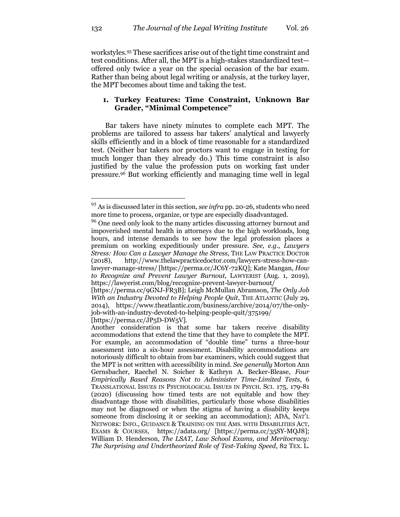workstyles.95 These sacrifices arise out of the tight time constraint and test conditions. After all, the MPT is a high-stakes standardized test offered only twice a year on the special occasion of the bar exam. Rather than being about legal writing or analysis, at the turkey layer, the MPT becomes about time and taking the test.

## **1. Turkey Features: Time Constraint, Unknown Bar Grader, "Minimal Competence"**

Bar takers have ninety minutes to complete each MPT. The problems are tailored to assess bar takers' analytical and lawyerly skills efficiently and in a block of time reasonable for a standardized test. (Neither bar takers nor proctors want to engage in testing for much longer than they already do.) This time constraint is also justified by the value the profession puts on working fast under pressure.96 But working efficiently and managing time well in legal

<sup>95</sup> As is discussed later in this section, *see infra* pp. 20-26, students who need more time to process, organize, or type are especially disadvantaged.

<sup>&</sup>lt;sup>96</sup> One need only look to the many articles discussing attorney burnout and impoverished mental health in attorneys due to the high workloads, long hours, and intense demands to see how the legal profession places a premium on working expeditiously under pressure. *See, e.g.*, *Lawyers Stress: How Can a Lawyer Manage the Stress,* THE LAW PRACTICE DOCTOR (2018), http://www.thelawpracticedoctor.com/lawyers-stress-how-canlawyer-manage-stress/ [https://perma.cc/JC6Y-72KQ]; Kate Mangan, *How to Recognize and Prevent Lawyer Burnout,* LAWYERIST (Aug. 1, 2019), https://lawyerist.com/blog/recognize-prevent-lawyer-burnout/

<sup>[</sup>https://perma.cc/9GNJ-FR3B]; Leigh McMullan Abramson, *The Only Job With an Industry Devoted to Helping People Quit*, THE ATLANTIC (July 29, 2014), https://www.theatlantic.com/business/archive/2014/07/the-onlyjob-with-an-industry-devoted-to-helping-people-quit/375199/ [https://perma.cc/JP<sub>5</sub>D-DW<sub>5</sub>V].

Another consideration is that some bar takers receive disability accommodations that extend the time that they have to complete the MPT. For example, an accommodation of "double time" turns a three-hour assessment into a six-hour assessment. Disability accommodations are notoriously difficult to obtain from bar examiners, which could suggest that the MPT is not written with accessibility in mind. *See generally* Morton Ann Gernsbacher, Raechel N. Soicher & Kathryn A. Becker-Blease, *Four Empirically Based Reasons Not to Administer Time-Limited Tests*, 6 TRANSLATIONAL ISSUES IN PSYCHOLOGICAL ISSUES IN PSYCH. SCI. 175, 179-81 (2020) (discussing how timed tests are not equitable and how they disadvantage those with disabilities, particularly those whose disabilities may not be diagnosed or when the stigma of having a disability keeps someone from disclosing it or seeking an accommodation); ADA, NAT'L NETWORK: INFO., GUIDANCE & TRAINING ON THE AMS. WITH DISABILITIES ACT, EXAMS & COURSES, https://adata.org/ [https://perma.cc/35SY-MQJ8]; William D. Henderson, *The LSAT, Law School Exams, and Meritocracy: The Surprising and Undertheorized Role of Test-Taking Speed*, 82 TEX. L.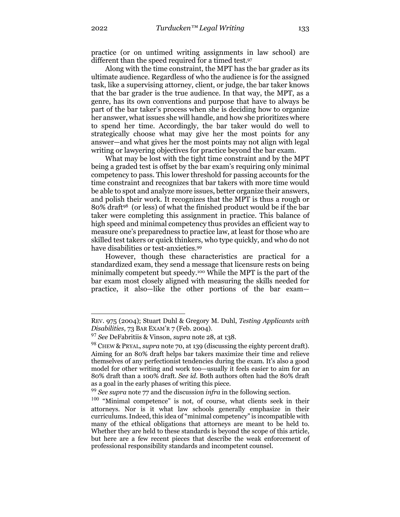practice (or on untimed writing assignments in law school) are different than the speed required for a timed test.97

Along with the time constraint, the MPT has the bar grader as its ultimate audience. Regardless of who the audience is for the assigned task, like a supervising attorney, client, or judge, the bar taker knows that the bar grader is the true audience. In that way, the MPT, as a genre, has its own conventions and purpose that have to always be part of the bar taker's process when she is deciding how to organize her answer, what issues she will handle, and how she prioritizes where to spend her time. Accordingly, the bar taker would do well to strategically choose what may give her the most points for any answer—and what gives her the most points may not align with legal writing or lawyering objectives for practice beyond the bar exam.

What may be lost with the tight time constraint and by the MPT being a graded test is offset by the bar exam's requiring only minimal competency to pass. This lower threshold for passing accounts for the time constraint and recognizes that bar takers with more time would be able to spot and analyze more issues, better organize their answers, and polish their work. It recognizes that the MPT is thus a rough or 80% draft98 (or less) of what the finished product would be if the bar taker were completing this assignment in practice. This balance of high speed and minimal competency thus provides an efficient way to measure one's preparedness to practice law, at least for those who are skilled test takers or quick thinkers, who type quickly, and who do not have disabilities or test-anxieties.<sup>99</sup>

However, though these characteristics are practical for a standardized exam, they send a message that licensure rests on being minimally competent but speedy.100 While the MPT is the part of the bar exam most closely aligned with measuring the skills needed for practice, it also—like the other portions of the bar exam—

REV. 975 (2004); Stuart Duhl & Gregory M. Duhl, *Testing Applicants with Disabilities*, 73 BAR EXAM'R 7 (Feb. 2004).

<sup>97</sup> *See* DeFabritiis & Vinson, *supra* note 28, at 138.

<sup>98</sup> CHEW & PRYAL, *supra* note 70, at 139 (discussing the eighty percent draft). Aiming for an 80% draft helps bar takers maximize their time and relieve themselves of any perfectionist tendencies during the exam. It's also a good model for other writing and work too—usually it feels easier to aim for an 80% draft than a 100% draft. *See id*. Both authors often had the 80% draft as a goal in the early phases of writing this piece.

<sup>99</sup> *See supra* note 77 and the discussion *infra* in the following section.

 $100$  "Minimal competence" is not, of course, what clients seek in their attorneys. Nor is it what law schools generally emphasize in their curriculums. Indeed, this idea of "minimal competency" is incompatible with many of the ethical obligations that attorneys are meant to be held to. Whether they are held to these standards is beyond the scope of this article, but here are a few recent pieces that describe the weak enforcement of professional responsibility standards and incompetent counsel.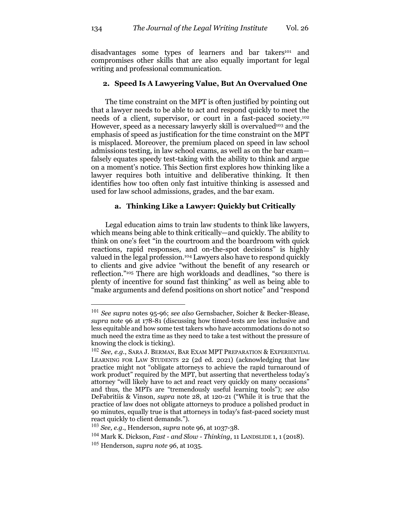disadvantages some types of learners and bar takers<sup>101</sup> and compromises other skills that are also equally important for legal writing and professional communication.

# **2. Speed Is A Lawyering Value, But An Overvalued One**

The time constraint on the MPT is often justified by pointing out that a lawyer needs to be able to act and respond quickly to meet the needs of a client, supervisor, or court in a fast-paced society.102 However, speed as a necessary lawyerly skill is overvalued<sup>103</sup> and the emphasis of speed as justification for the time constraint on the MPT is misplaced. Moreover, the premium placed on speed in law school admissions testing, in law school exams, as well as on the bar exam falsely equates speedy test-taking with the ability to think and argue on a moment's notice. This Section first explores how thinking like a lawyer requires both intuitive and deliberative thinking. It then identifies how too often only fast intuitive thinking is assessed and used for law school admissions, grades, and the bar exam.

# **a. Thinking Like a Lawyer: Quickly but Critically**

Legal education aims to train law students to think like lawyers, which means being able to think critically—and quickly. The ability to think on one's feet "in the courtroom and the boardroom with quick reactions, rapid responses, and on-the-spot decisions" is highly valued in the legal profession.104 Lawyers also have to respond quickly to clients and give advice "without the benefit of any research or reflection."105 There are high workloads and deadlines, "so there is plenty of incentive for sound fast thinking" as well as being able to "make arguments and defend positions on short notice" and "respond

<sup>101</sup> *See supra* notes 95-96; *see also* Gernsbacher, Soicher & Becker-Blease, *supra* note 96 at 178-81 (discussing how timed-tests are less inclusive and less equitable and how some test takers who have accommodations do not so much need the extra time as they need to take a test without the pressure of knowing the clock is ticking).

<sup>102</sup> *See, e.g.*, SARA J. BERMAN, BAR EXAM MPT PREPARATION & EXPERIENTIAL LEARNING FOR LAW STUDENTS 22 (2d ed. 2021) (acknowledging that law practice might not "obligate attorneys to achieve the rapid turnaround of work product" required by the MPT, but asserting that nevertheless today's attorney "will likely have to act and react very quickly on many occasions" and thus, the MPTs are "tremendously useful learning tools"); *see also* DeFabritiis & Vinson, *supra* note 28, at 120-21 ("While it is true that the practice of law does not obligate attorneys to produce a polished product in 90 minutes, equally true is that attorneys in today's fast-paced society must react quickly to client demands.").

<sup>103</sup> *See, e.g.*, Henderson, *supra* note 96, at 1037-38.

<sup>104</sup> Mark K. Dickson, *Fast - and Slow - Thinking*, 11 LANDSLIDE 1, 1 (2018).

<sup>105</sup> Henderson, *supra note 96*, at 1035.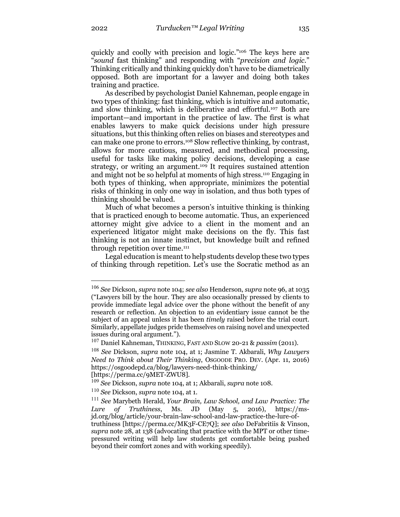quickly and coolly with precision and logic."106 The keys here are "*sound* fast thinking" and responding with "*precision and logic*." Thinking critically and thinking quickly don't have to be diametrically opposed. Both are important for a lawyer and doing both takes training and practice.

As described by psychologist Daniel Kahneman, people engage in two types of thinking: fast thinking, which is intuitive and automatic, and slow thinking, which is deliberative and effortful.107 Both are important—and important in the practice of law. The first is what enables lawyers to make quick decisions under high pressure situations, but this thinking often relies on biases and stereotypes and can make one prone to errors.108 Slow reflective thinking, by contrast, allows for more cautious, measured, and methodical processing, useful for tasks like making policy decisions, developing a case strategy, or writing an argument.109 It requires sustained attention and might not be so helpful at moments of high stress.110 Engaging in both types of thinking, when appropriate, minimizes the potential risks of thinking in only one way in isolation, and thus both types of thinking should be valued.

Much of what becomes a person's intuitive thinking is thinking that is practiced enough to become automatic. Thus, an experienced attorney might give advice to a client in the moment and an experienced litigator might make decisions on the fly. This fast thinking is not an innate instinct, but knowledge built and refined through repetition over time.<sup>111</sup>

Legal education is meant to help students develop these two types of thinking through repetition. Let's use the Socratic method as an

<sup>107</sup> Daniel Kahneman, THINKING, FAST AND SLOW 20-21 & *passim* (2011).

[https://perma.cc/9MET-ZWU8].

<sup>106</sup> *See* Dickson, *supra* note 104; *see also* Henderson, *supra* note 96, at 1035 ("Lawyers bill by the hour. They are also occasionally pressed by clients to provide immediate legal advice over the phone without the benefit of any research or reflection. An objection to an evidentiary issue cannot be the subject of an appeal unless it has been *timely* raised before the trial court. Similarly, appellate judges pride themselves on raising novel and unexpected issues during oral argument.").

<sup>108</sup> *See* Dickson, *supra* note 104, at 1; Jasmine T. Akbarali, *Why Lawyers Need to Think about Their Thinking*, OSGOODE PRO. DEV. (Apr. 11, 2016) https://osgoodepd.ca/blog/lawyers-need-think-thinking/

<sup>109</sup> *See* Dickson, *supra* note 104, at 1; Akbarali, *supra* note 108.

<sup>110</sup> *See* Dickson, *supra* note 104, at 1.

<sup>111</sup> *See* Marybeth Herald, *Your Brain, Law School, and Law Practice: The Lure of Truthiness*, Ms. JD (May 5, 2016), https://msjd.org/blog/article/your-brain-law-school-and-law-practice-the-lure-oftruthiness [https://perma.cc/MK3F-CE7Q]; *see also* DeFabritiis & Vinson, *supra* note 28, at 138 (advocating that practice with the MPT or other timepressured writing will help law students get comfortable being pushed beyond their comfort zones and with working speedily).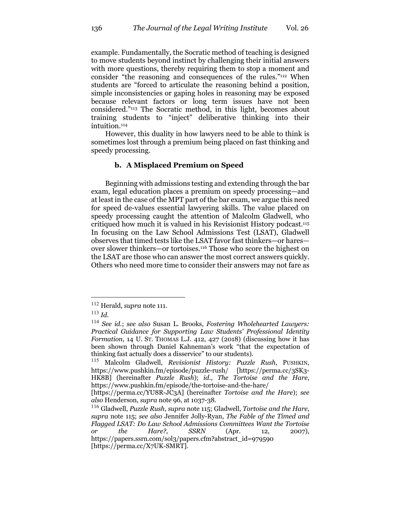example. Fundamentally, the Socratic method of teaching is designed to move students beyond instinct by challenging their initial answers with more questions, thereby requiring them to stop a moment and consider "the reasoning and consequences of the rules."112 When students are "forced to articulate the reasoning behind a position, simple inconsistencies or gaping holes in reasoning may be exposed because relevant factors or long term issues have not been considered."113 The Socratic method, in this light, becomes about training students to "inject" deliberative thinking into their intuition.<sup>114</sup>

However, this duality in how lawyers need to be able to think is sometimes lost through a premium being placed on fast thinking and speedy processing.

# **b. A Misplaced Premium on Speed**

Beginning with admissions testing and extending through the bar exam, legal education places a premium on speedy processing—and at least in the case of the MPT part of the bar exam, we argue this need for speed de-values essential lawyering skills. The value placed on speedy processing caught the attention of Malcolm Gladwell, who critiqued how much it is valued in his Revisionist History podcast.115 In focusing on the Law School Admissions Test (LSAT), Gladwell observes that timed tests like the LSAT favor fast thinkers—or hares over slower thinkers—or tortoises.116 Those who score the highest on the LSAT are those who can answer the most correct answers quickly. Others who need more time to consider their answers may not fare as

<sup>112</sup> Herald, *supra* note 111.

<sup>113</sup> *Id.*

<sup>114</sup> *See id.*; *see also* Susan L. Brooks, *Fostering Wholehearted Lawyers: Practical Guidance for Supporting Law Students' Professional Identity Formation*, 14 U. St. Thomas L.J. 412, 427 (2018) (discussing how it has been shown through Daniel Kahneman's work "that the expectation of thinking fast actually does a disservice" to our students).

<sup>115</sup> Malcolm Gladwell, *Revisionist History: Puzzle Rush*, PUSHKIN, https://www.pushkin.fm/episode/puzzle-rush/ [https://perma.cc/3SK3- HK8B] (hereinafter *Puzzle Rush*); *id.*, *The Tortoise and the Hare*, https://www.pushkin.fm/episode/the-tortoise-and-the-hare/

<sup>[</sup>https://perma.cc/YU8R-JC3A] (hereinafter *Tortoise and the Hare*); *see also* Henderson, *supra* note 96, at 1037-38.

<sup>116</sup> Gladwell, *Puzzle Rush*, *supra* note 115; Gladwell, *Tortoise and the Hare*, *supra* note 115; *see also* Jennifer Jolly-Ryan, *The Fable of the Timed and Flagged LSAT: Do Law School Admissions Committees Want the Tortoise or the Hare?, SSRN* (Apr. 12, 2007), https://papers.ssrn.com/sol3/papers.cfm?abstract\_id=979590 [https://perma.cc/X7UK-SMRT].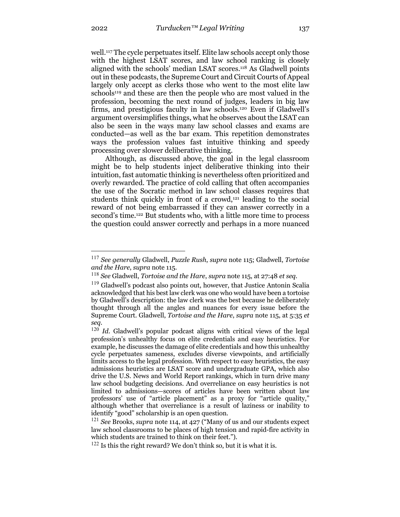well.117 The cycle perpetuates itself. Elite law schools accept only those with the highest LSAT scores, and law school ranking is closely aligned with the schools' median LSAT scores.118 As Gladwell points out in these podcasts, the Supreme Court and Circuit Courts of Appeal largely only accept as clerks those who went to the most elite law schools<sup>119</sup> and these are then the people who are most valued in the profession, becoming the next round of judges, leaders in big law firms, and prestigious faculty in law schools.120 Even if Gladwell's argument oversimplifies things, what he observes about the LSAT can also be seen in the ways many law school classes and exams are conducted—as well as the bar exam. This repetition demonstrates ways the profession values fast intuitive thinking and speedy processing over slower deliberative thinking.

Although, as discussed above, the goal in the legal classroom might be to help students inject deliberative thinking into their intuition, fast automatic thinking is nevertheless often prioritized and overly rewarded. The practice of cold calling that often accompanies the use of the Socratic method in law school classes requires that students think quickly in front of a crowd,<sup>121</sup> leading to the social reward of not being embarrassed if they can answer correctly in a second's time.<sup>122</sup> But students who, with a little more time to process the question could answer correctly and perhaps in a more nuanced

<sup>117</sup> *See generally* Gladwell, *Puzzle Rush*, *supra* note 115; Gladwell, *Tortoise and the Hare*, *supra* note 115.

<sup>118</sup> *See* Gladwell, *Tortoise and the Hare*, *supra* note 115, at 27:48 *et seq.*

<sup>119</sup> Gladwell's podcast also points out, however, that Justice Antonin Scalia acknowledged that his best law clerk was one who would have been a tortoise by Gladwell's description: the law clerk was the best because he deliberately thought through all the angles and nuances for every issue before the Supreme Court. Gladwell, *Tortoise and the Hare*, *supra* note 115, at 5:35 *et seq.*

<sup>&</sup>lt;sup>120</sup> *Id.* Gladwell's popular podcast aligns with critical views of the legal profession's unhealthy focus on elite credentials and easy heuristics. For example, he discusses the damage of elite credentials and how this unhealthy cycle perpetuates sameness, excludes diverse viewpoints, and artificially limits access to the legal profession. With respect to easy heuristics, the easy admissions heuristics are LSAT score and undergraduate GPA, which also drive the U.S. News and World Report rankings, which in turn drive many law school budgeting decisions. And overreliance on easy heuristics is not limited to admissions—scores of articles have been written about law professors' use of "article placement" as a proxy for "article quality," although whether that overreliance is a result of laziness or inability to identify "good" scholarship is an open question.

<sup>121</sup> *See* Brooks, *supra* note 114, at 427 ("Many of us and our students expect law school classrooms to be places of high tension and rapid-fire activity in which students are trained to think on their feet.").

 $122$  Is this the right reward? We don't think so, but it is what it is.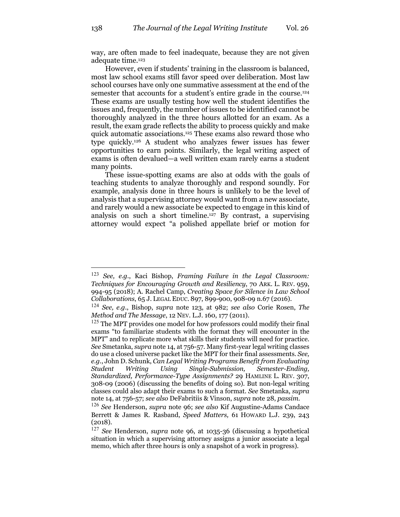way, are often made to feel inadequate, because they are not given adequate time.<sup>123</sup>

However, even if students' training in the classroom is balanced, most law school exams still favor speed over deliberation. Most law school courses have only one summative assessment at the end of the semester that accounts for a student's entire grade in the course.<sup>124</sup> These exams are usually testing how well the student identifies the issues and, frequently, the number of issues to be identified cannot be thoroughly analyzed in the three hours allotted for an exam. As a result, the exam grade reflects the ability to process quickly and make quick automatic associations.125 These exams also reward those who type quickly.126 A student who analyzes fewer issues has fewer opportunities to earn points. Similarly, the legal writing aspect of exams is often devalued—a well written exam rarely earns a student many points.

These issue-spotting exams are also at odds with the goals of teaching students to analyze thoroughly and respond soundly. For example, analysis done in three hours is unlikely to be the level of analysis that a supervising attorney would want from a new associate, and rarely would a new associate be expected to engage in this kind of analysis on such a short timeline.127 By contrast, a supervising attorney would expect "a polished appellate brief or motion for

<sup>123</sup> *See, e.g.*, Kaci Bishop, *Framing Failure in the Legal Classroom: Techniques for Encouraging Growth and Resiliency*, 70 ARK. L. REV. 959, 994-95 (2018); A. Rachel Camp, *Creating Space for Silence in Law School Collaborations*, 65 J. LEGAL EDUC. 897, 899-900, 908-09 n.67 (2016).

<sup>124</sup> *See, e.g*., Bishop, *supra* note 123, at 982; *see also* Corie Rosen, *The Method and The Message*, 12 NEV. L.J. 160, 177 (2011).

<sup>&</sup>lt;sup>125</sup> The MPT provides one model for how professors could modify their final exams "to familiarize students with the format they will encounter in the MPT" and to replicate more what skills their students will need for practice. *See* Smetanka, *supra* note 14, at 756-57. Many first-year legal writing classes do use a closed universe packet like the MPT for their final assessments. *See, e.g.*, John D. Schunk, *Can Legal Writing Programs Benefit from Evaluating Student Writing Using Single-Submission, Semester-Ending, Standardized, Performance-Type Assignments?* 29 HAMLINE L. REV. 307, 308-09 (2006) (discussing the benefits of doing so). But non-legal writing classes could also adapt their exams to such a format. *See* Smetanka, *supra* note 14, at 756-57; *see also* DeFabritiis & Vinson, *supra* note 28, *passim*.

<sup>126</sup> *See* Henderson, *supra* note 96; *see also* Kif Augustine-Adams Candace Berrett & James R. Rasband, *Speed Matters,* 61 HOWARD L.J. 239, 243 (2018).

<sup>127</sup> *See* Henderson, *supra* note 96, at 1035-36 (discussing a hypothetical situation in which a supervising attorney assigns a junior associate a legal memo, which after three hours is only a snapshot of a work in progress).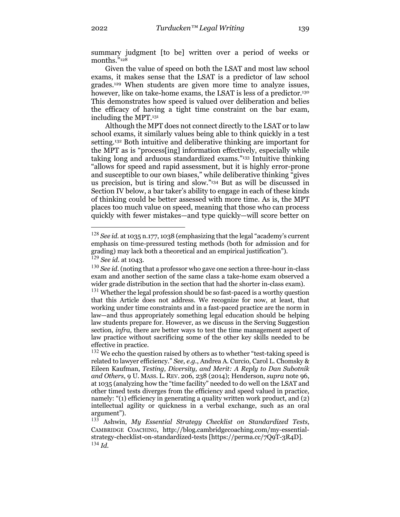summary judgment [to be] written over a period of weeks or months."<sup>128</sup>

Given the value of speed on both the LSAT and most law school exams, it makes sense that the LSAT is a predictor of law school grades.129 When students are given more time to analyze issues, however, like on take-home exams, the LSAT is less of a predictor.<sup>130</sup> This demonstrates how speed is valued over deliberation and belies the efficacy of having a tight time constraint on the bar exam, including the MPT.131

Although the MPT does not connect directly to the LSAT or to law school exams, it similarly values being able to think quickly in a test setting.132 Both intuitive and deliberative thinking are important for the MPT as is "process[ing] information effectively, especially while taking long and arduous standardized exams."133 Intuitive thinking "allows for speed and rapid assessment, but it is highly error-prone and susceptible to our own biases," while deliberative thinking "gives us precision, but is tiring and slow."134 But as will be discussed in Section IV below, a bar taker's ability to engage in each of these kinds of thinking could be better assessed with more time. As is, the MPT places too much value on speed, meaning that those who can process quickly with fewer mistakes—and type quickly—will score better on

<sup>128</sup> *See id.* at 1035 n.177, 1038 (emphasizing that the legal "academy's current emphasis on time-pressured testing methods (both for admission and for grading) may lack both a theoretical and an empirical justification"). <sup>129</sup> *See id.* at 1043.

<sup>130</sup> *See id.* (noting that a professor who gave one section a three-hour in-class exam and another section of the same class a take-home exam observed a wider grade distribution in the section that had the shorter in-class exam).

 $131$  Whether the legal profession should be so fast-paced is a worthy question that this Article does not address. We recognize for now, at least, that working under time constraints and in a fast-paced practice are the norm in law—and thus appropriately something legal education should be helping law students prepare for. However, as we discuss in the Serving Suggestion section, *infra*, there are better ways to test the time management aspect of law practice without sacrificing some of the other key skills needed to be effective in practice.

 $132$  We echo the question raised by others as to whether "test-taking speed is related to lawyer efficiency." *See, e.g.*, Andrea A. Curcio, Carol L. Chomsky & Eileen Kaufman, *Testing, Diversity, and Merit: A Reply to Dan Subotnik and Others*, 9 U. MASS. L. REV. 206, 238 (2014); Henderson, *supra* note 96, at 1035 (analyzing how the "time facility" needed to do well on the LSAT and other timed tests diverges from the efficiency and speed valued in practice, namely: "(1) efficiency in generating a quality written work product, and (2) intellectual agility or quickness in a verbal exchange, such as an oral argument").

<sup>133</sup> Ashwin, *My Essential Strategy Checklist on Standardized Tests*, CAMBRIDGE COACHING, http://blog.cambridgecoaching.com/my-essentialstrategy-checklist-on-standardized-tests [https://perma.cc/7Q9T-3R4D]. <sup>134</sup> *Id.*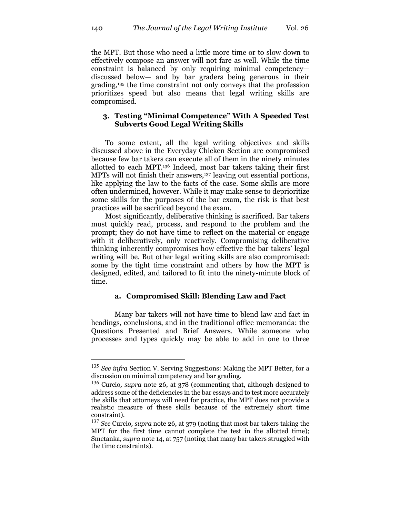the MPT. But those who need a little more time or to slow down to effectively compose an answer will not fare as well. While the time constraint is balanced by only requiring minimal competency discussed below— and by bar graders being generous in their grading,135 the time constraint not only conveys that the profession prioritizes speed but also means that legal writing skills are compromised.

# **3. Testing "Minimal Competence" With A Speeded Test Subverts Good Legal Writing Skills**

To some extent, all the legal writing objectives and skills discussed above in the Everyday Chicken Section are compromised because few bar takers can execute all of them in the ninety minutes allotted to each MPT.136 Indeed, most bar takers taking their first MPTs will not finish their answers,<sup>137</sup> leaving out essential portions, like applying the law to the facts of the case. Some skills are more often undermined, however. While it may make sense to deprioritize some skills for the purposes of the bar exam, the risk is that best practices will be sacrificed beyond the exam.

Most significantly, deliberative thinking is sacrificed. Bar takers must quickly read, process, and respond to the problem and the prompt; they do not have time to reflect on the material or engage with it deliberatively, only reactively. Compromising deliberative thinking inherently compromises how effective the bar takers' legal writing will be. But other legal writing skills are also compromised: some by the tight time constraint and others by how the MPT is designed, edited, and tailored to fit into the ninety-minute block of time.

#### **a. Compromised Skill: Blending Law and Fact**

Many bar takers will not have time to blend law and fact in headings, conclusions, and in the traditional office memoranda: the Questions Presented and Brief Answers. While someone who processes and types quickly may be able to add in one to three

<sup>135</sup> *See infra* Section V. Serving Suggestions: Making the MPT Better, for a discussion on minimal competency and bar grading.

<sup>136</sup> Curcio*, supra* note 26, at 378 (commenting that, although designed to address some of the deficiencies in the bar essays and to test more accurately the skills that attorneys will need for practice, the MPT does not provide a realistic measure of these skills because of the extremely short time constraint).

<sup>137</sup> *See* Curcio*, supra* note 26, at 379 (noting that most bar takers taking the MPT for the first time cannot complete the test in the allotted time); Smetanka, *supra* note 14, at 757 (noting that many bar takers struggled with the time constraints).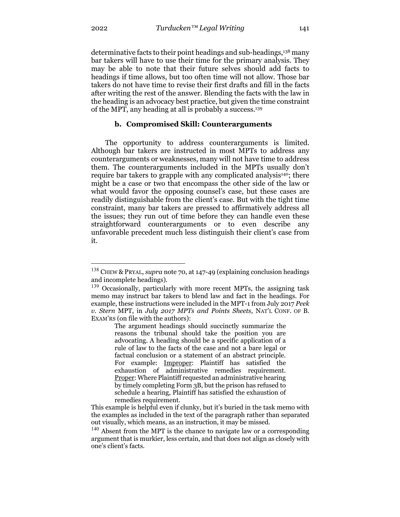determinative facts to their point headings and sub-headings,138 many bar takers will have to use their time for the primary analysis. They may be able to note that their future selves should add facts to headings if time allows, but too often time will not allow. Those bar takers do not have time to revise their first drafts and fill in the facts after writing the rest of the answer. Blending the facts with the law in the heading is an advocacy best practice, but given the time constraint of the MPT, any heading at all is probably a success.139

#### **b. Compromised Skill: Counterarguments**

The opportunity to address counterarguments is limited. Although bar takers are instructed in most MPTs to address any counterarguments or weaknesses, many will not have time to address them. The counterarguments included in the MPTs usually don't require bar takers to grapple with any complicated analysis<sup>140</sup>; there might be a case or two that encompass the other side of the law or what would favor the opposing counsel's case, but these cases are readily distinguishable from the client's case. But with the tight time constraint, many bar takers are pressed to affirmatively address all the issues; they run out of time before they can handle even these straightforward counterarguments or to even describe any unfavorable precedent much less distinguish their client's case from it.

<sup>138</sup> CHEW & PRYAL, *supra* note 70, at 147-49 (explaining conclusion headings and incomplete headings).

<sup>&</sup>lt;sup>139</sup> Occasionally, particularly with more recent MPTs, the assigning task memo may instruct bar takers to blend law and fact in the headings. For example, these instructions were included in the MPT-1 from July 2017 *Peek v. Stern* MPT, in *July 2017 MPTs and Points Sheets*, NAT'L CONF. OF B. EXAM'RS (on file with the authors):

The argument headings should succinctly summarize the reasons the tribunal should take the position you are advocating. A heading should be a specific application of a rule of law to the facts of the case and not a bare legal or factual conclusion or a statement of an abstract principle. For example: Improper: Plaintiff has satisfied the exhaustion of administrative remedies requirement. Proper: Where Plaintiff requested an administrative hearing by timely completing Form 3B, but the prison has refused to schedule a hearing, Plaintiff has satisfied the exhaustion of remedies requirement.

This example is helpful even if clunky, but it's buried in the task memo with the examples as included in the text of the paragraph rather than separated out visually, which means, as an instruction, it may be missed.

<sup>&</sup>lt;sup>140</sup> Absent from the MPT is the chance to navigate law or a corresponding argument that is murkier, less certain, and that does not align as closely with one's client's facts.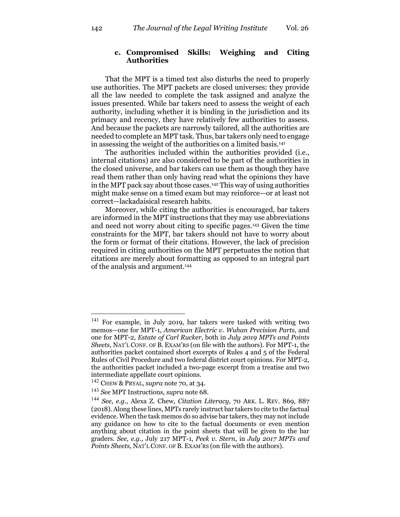# **c. Compromised Skills: Weighing and Citing Authorities**

That the MPT is a timed test also disturbs the need to properly use authorities. The MPT packets are closed universes: they provide all the law needed to complete the task assigned and analyze the issues presented. While bar takers need to assess the weight of each authority, including whether it is binding in the jurisdiction and its primacy and recency, they have relatively few authorities to assess. And because the packets are narrowly tailored, all the authorities are needed to complete an MPT task. Thus, bar takers only need to engage in assessing the weight of the authorities on a limited basis.141

The authorities included within the authorities provided (i.e., internal citations) are also considered to be part of the authorities in the closed universe, and bar takers can use them as though they have read them rather than only having read what the opinions they have in the MPT pack say about those cases.142 This way of using authorities might make sense on a timed exam but may reinforce—or at least not correct—lackadaisical research habits.

Moreover, while citing the authorities is encouraged, bar takers are informed in the MPT instructions that they may use abbreviations and need not worry about citing to specific pages.143 Given the time constraints for the MPT, bar takers should not have to worry about the form or format of their citations. However, the lack of precision required in citing authorities on the MPT perpetuates the notion that citations are merely about formatting as opposed to an integral part of the analysis and argument.144

<sup>141</sup> For example, in July 2019, bar takers were tasked with writing two memos—one for MPT-1, *American Electric v. Wuhan Precision Parts*, and one for MPT-2, *Estate of Carl Rucker*, both in *July 2019 MPTs and Points Sheets*, NAT'L CONF. OF B. EXAM'RS (on file with the authors). For MPT-1, the authorities packet contained short excerpts of Rules 4 and 5 of the Federal Rules of Civil Procedure and two federal district court opinions. For MPT-2, the authorities packet included a two-page excerpt from a treatise and two intermediate appellate court opinions.

<sup>142</sup> CHEW & PRYAL, *supra* note 70, at 34.

<sup>143</sup> *See* MPT Instructions, *supra* note 68.

<sup>144</sup> *See, e.g.,* Alexa Z. Chew, *Citation Literacy*, 70 ARK. L. REV. 869, 887 (2018). Along these lines, MPTs rarely instruct bar takers to cite to the factual evidence. When the task memos do so advise bar takers, they may not include any guidance on how to cite to the factual documents or even mention anything about citation in the point sheets that will be given to the bar graders. *See, e.g.*, July 217 MPT-1, *Peek v. Stern*, in *July 2017 MPTs and Points Sheets*, NAT'L CONF. OF B. EXAM'RS (on file with the authors).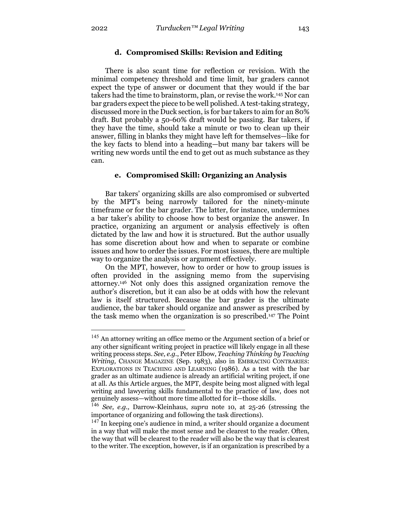# **d. Compromised Skills: Revision and Editing**

There is also scant time for reflection or revision. With the minimal competency threshold and time limit, bar graders cannot expect the type of answer or document that they would if the bar takers had the time to brainstorm, plan, or revise the work.145 Nor can bar graders expect the piece to be well polished. A test-taking strategy, discussed more in the Duck section, is for bar takers to aim for an 80% draft. But probably a 50-60% draft would be passing. Bar takers, if they have the time, should take a minute or two to clean up their answer, filling in blanks they might have left for themselves—like for the key facts to blend into a heading—but many bar takers will be writing new words until the end to get out as much substance as they can.

#### **e. Compromised Skill: Organizing an Analysis**

Bar takers' organizing skills are also compromised or subverted by the MPT's being narrowly tailored for the ninety-minute timeframe or for the bar grader. The latter, for instance, undermines a bar taker's ability to choose how to best organize the answer. In practice, organizing an argument or analysis effectively is often dictated by the law and how it is structured. But the author usually has some discretion about how and when to separate or combine issues and how to order the issues. For most issues, there are multiple way to organize the analysis or argument effectively.

On the MPT, however, how to order or how to group issues is often provided in the assigning memo from the supervising attorney.146 Not only does this assigned organization remove the author's discretion, but it can also be at odds with how the relevant law is itself structured. Because the bar grader is the ultimate audience, the bar taker should organize and answer as prescribed by the task memo when the organization is so prescribed.147 The Point

<sup>&</sup>lt;sup>145</sup> An attorney writing an office memo or the Argument section of a brief or any other significant writing project in practice will likely engage in all these writing process steps. *See, e.g.*, Peter Elbow, *Teaching Thinking by Teaching Writing,* CHANGE MAGAZINE (Sep. 1983), also in EMBRACING CONTRARIES: EXPLORATIONS IN TEACHING AND LEARNING (1986). As a test with the bar grader as an ultimate audience is already an artificial writing project, if one at all. As this Article argues, the MPT, despite being most aligned with legal writing and lawyering skills fundamental to the practice of law, does not genuinely assess—without more time allotted for it—those skills.

<sup>146</sup> *See, e.g.,* Darrow-Kleinhaus, *supra* note 10, at 25-26 (stressing the importance of organizing and following the task directions).

 $147$  In keeping one's audience in mind, a writer should organize a document in a way that will make the most sense and be clearest to the reader. Often, the way that will be clearest to the reader will also be the way that is clearest to the writer. The exception, however, is if an organization is prescribed by a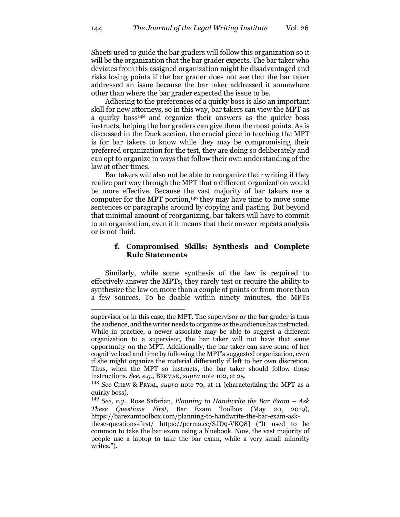Sheets used to guide the bar graders will follow this organization so it will be the organization that the bar grader expects. The bar taker who deviates from this assigned organization might be disadvantaged and risks losing points if the bar grader does not see that the bar taker addressed an issue because the bar taker addressed it somewhere other than where the bar grader expected the issue to be.

Adhering to the preferences of a quirky boss is also an important skill for new attorneys, so in this way, bar takers can view the MPT as a quirky boss<sup>148</sup> and organize their answers as the quirky boss instructs, helping the bar graders can give them the most points. As is discussed in the Duck section, the crucial piece in teaching the MPT is for bar takers to know while they may be compromising their preferred organization for the test, they are doing so deliberately and can opt to organize in ways that follow their own understanding of the law at other times.

Bar takers will also not be able to reorganize their writing if they realize part way through the MPT that a different organization would be more effective. Because the vast majority of bar takers use a computer for the MPT portion,149 they may have time to move some sentences or paragraphs around by copying and pasting. But beyond that minimal amount of reorganizing, bar takers will have to commit to an organization, even if it means that their answer repeats analysis or is not fluid.

#### **f. Compromised Skills: Synthesis and Complete Rule Statements**

Similarly, while some synthesis of the law is required to effectively answer the MPTs, they rarely test or require the ability to synthesize the law on more than a couple of points or from more than a few sources. To be doable within ninety minutes, the MPTs

supervisor or in this case, the MPT. The supervisor or the bar grader is thus the audience, and the writer needs to organize as the audience has instructed. While in practice, a newer associate may be able to suggest a different organization to a supervisor, the bar taker will not have that same opportunity on the MPT. Additionally, the bar taker can save some of her cognitive load and time by following the MPT's suggested organization, even if she might organize the material differently if left to her own discretion. Thus, when the MPT so instructs, the bar taker should follow those instructions. *See, e.g.,* BERMAN, *supra* note 102, at 25.

<sup>148</sup> *See* CHEW & PRYAL, *supra* note 70, at 11 (characterizing the MPT as a quirky boss).

<sup>149</sup> *See, e.g.*, Rose Safarian, *Planning to Handwrite the Bar Exam – Ask These Questions First*, Bar Exam Toolbox (May 20, 2019), https://barexamtoolbox.com/planning-to-handwrite-the-bar-exam-ask-

these-questions-first/ https://perma.cc/SJD9-VKQ8] ("It used to be common to take the bar exam using a bluebook. Now, the vast majority of people use a laptop to take the bar exam, while a very small minority writes.").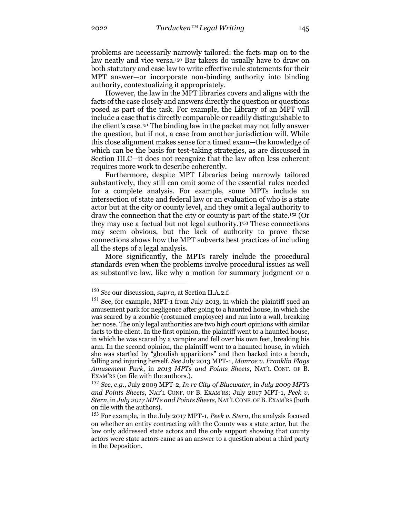problems are necessarily narrowly tailored: the facts map on to the law neatly and vice versa.<sup>150</sup> Bar takers do usually have to draw on both statutory and case law to write effective rule statements for their MPT answer—or incorporate non-binding authority into binding authority, contextualizing it appropriately.

However, the law in the MPT libraries covers and aligns with the facts of the case closely and answers directly the question or questions posed as part of the task. For example, the Library of an MPT will include a case that is directly comparable or readily distinguishable to the client's case.151 The binding law in the packet may not fully answer the question, but if not, a case from another jurisdiction will. While this close alignment makes sense for a timed exam—the knowledge of which can be the basis for test-taking strategies, as are discussed in Section III.C—it does not recognize that the law often less coherent requires more work to describe coherently.

Furthermore, despite MPT Libraries being narrowly tailored substantively, they still can omit some of the essential rules needed for a complete analysis. For example, some MPTs include an intersection of state and federal law or an evaluation of who is a state actor but at the city or county level, and they omit a legal authority to draw the connection that the city or county is part of the state.152 (Or they may use a factual but not legal authority.)153 These connections may seem obvious, but the lack of authority to prove these connections shows how the MPT subverts best practices of including all the steps of a legal analysis.

More significantly, the MPTs rarely include the procedural standards even when the problems involve procedural issues as well as substantive law, like why a motion for summary judgment or a

<sup>150</sup> *See* our discussion, *supra*, at Section II.A.2.f*.*

<sup>&</sup>lt;sup>151</sup> See, for example, MPT-1 from July 2013, in which the plaintiff sued an amusement park for negligence after going to a haunted house, in which she was scared by a zombie (costumed employee) and ran into a wall, breaking her nose. The only legal authorities are two high court opinions with similar facts to the client. In the first opinion, the plaintiff went to a haunted house, in which he was scared by a vampire and fell over his own feet, breaking his arm. In the second opinion, the plaintiff went to a haunted house, in which she was startled by "ghoulish apparitions" and then backed into a bench, falling and injuring herself. *See* July 2013 MPT-1, *Monroe v. Franklin Flags Amusement Park*, in *2013 MPTs and Points Sheets*, NAT'L CONF. OF B. EXAM'RS (on file with the authors.).

<sup>152</sup> *See, e.g.*, July 2009 MPT-2, *In re City of Bluewater,* in *July 2009 MPTs and Points Sheets*, NAT'L CONF. OF B. EXAM'RS; July 2017 MPT-1, *Peek v. Stern*, in *July 2017 MPTs and Points Sheets*, NAT'L CONF. OF B.EXAM'RS (both on file with the authors).

<sup>153</sup> For example, in the July 2017 MPT-1, *Peek v. Stern*, the analysis focused on whether an entity contracting with the County was a state actor, but the law only addressed state actors and the only support showing that county actors were state actors came as an answer to a question about a third party in the Deposition.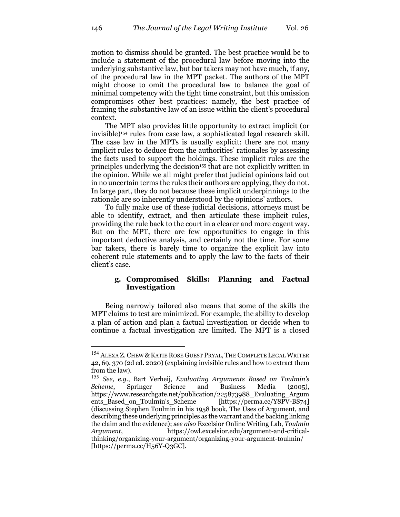motion to dismiss should be granted. The best practice would be to include a statement of the procedural law before moving into the underlying substantive law, but bar takers may not have much, if any, of the procedural law in the MPT packet. The authors of the MPT might choose to omit the procedural law to balance the goal of minimal competency with the tight time constraint, but this omission compromises other best practices: namely, the best practice of framing the substantive law of an issue within the client's procedural context.

The MPT also provides little opportunity to extract implicit (or invisible)154 rules from case law, a sophisticated legal research skill. The case law in the MPTs is usually explicit: there are not many implicit rules to deduce from the authorities' rationales by assessing the facts used to support the holdings. These implicit rules are the principles underlying the decision155 that are not explicitly written in the opinion. While we all might prefer that judicial opinions laid out in no uncertain terms the rules their authors are applying, they do not. In large part, they do not because these implicit underpinnings to the rationale are so inherently understood by the opinions' authors.

To fully make use of these judicial decisions, attorneys must be able to identify, extract, and then articulate these implicit rules, providing the rule back to the court in a clearer and more cogent way. But on the MPT, there are few opportunities to engage in this important deductive analysis, and certainly not the time. For some bar takers, there is barely time to organize the explicit law into coherent rule statements and to apply the law to the facts of their client's case.

# **g. Compromised Skills: Planning and Factual Investigation**

Being narrowly tailored also means that some of the skills the MPT claims to test are minimized. For example, the ability to develop a plan of action and plan a factual investigation or decide when to continue a factual investigation are limited. The MPT is a closed

<sup>&</sup>lt;sup>154</sup> ALEXA Z. CHEW & KATIE ROSE GUEST PRYAL, THE COMPLETE LEGAL WRITER 42, 69, 370 (2d ed. 2020) (explaining invisible rules and how to extract them from the law).

<sup>155</sup> *See, e.g*., Bart Verheij, *Evaluating Arguments Based on Toulmin's Scheme*, Springer Science and Business Media (2005), https://www.researchgate.net/publication/225873988\_Evaluating\_Argum ents\_Based\_on\_Toulmin's\_Scheme [https://perma.cc/Y8PV-BS74] (discussing Stephen Toulmin in his 1958 book, The Uses of Argument, and describing these underlying principles as the warrant and the backing linking the claim and the evidence); *see also* Excelsior Online Writing Lab, *Toulmin Argument*, https://owl.excelsior.edu/argument-and-criticalthinking/organizing-your-argument/organizing-your-argument-toulmin/ [https://perma.cc/H56Y-Q3GC].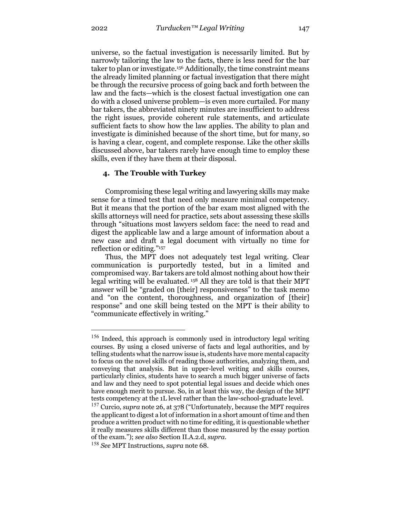universe, so the factual investigation is necessarily limited. But by narrowly tailoring the law to the facts, there is less need for the bar taker to plan or investigate.156 Additionally, the time constraint means the already limited planning or factual investigation that there might be through the recursive process of going back and forth between the law and the facts—which is the closest factual investigation one can do with a closed universe problem—is even more curtailed. For many bar takers, the abbreviated ninety minutes are insufficient to address the right issues, provide coherent rule statements, and articulate sufficient facts to show how the law applies. The ability to plan and investigate is diminished because of the short time, but for many, so is having a clear, cogent, and complete response. Like the other skills discussed above, bar takers rarely have enough time to employ these skills, even if they have them at their disposal.

# **4. The Trouble with Turkey**

Compromising these legal writing and lawyering skills may make sense for a timed test that need only measure minimal competency. But it means that the portion of the bar exam most aligned with the skills attorneys will need for practice, sets about assessing these skills through "situations most lawyers seldom face: the need to read and digest the applicable law and a large amount of information about a new case and draft a legal document with virtually no time for reflection or editing."157

Thus, the MPT does not adequately test legal writing. Clear communication is purportedly tested, but in a limited and compromised way. Bar takers are told almost nothing about how their legal writing will be evaluated. <sup>158</sup> All they are told is that their MPT answer will be "graded on [their] responsiveness" to the task memo and "on the content, thoroughness, and organization of [their] response" and one skill being tested on the MPT is their ability to "communicate effectively in writing."

<sup>&</sup>lt;sup>156</sup> Indeed, this approach is commonly used in introductory legal writing courses. By using a closed universe of facts and legal authorities, and by telling students what the narrow issue is, students have more mental capacity to focus on the novel skills of reading those authorities, analyzing them, and conveying that analysis. But in upper-level writing and skills courses, particularly clinics, students have to search a much bigger universe of facts and law and they need to spot potential legal issues and decide which ones have enough merit to pursue. So, in at least this way, the design of the MPT tests competency at the 1L level rather than the law-school-graduate level.

<sup>157</sup> Curcio*, supra* note 26, at 378 ("Unfortunately, because the MPT requires the applicant to digest a lot of information in a short amount of time and then produce a written product with no time for editing, it is questionable whether it really measures skills different than those measured by the essay portion of the exam."); *see also* Section II.A.2.d, *supra*.

<sup>158</sup> *See* MPT Instructions, *supra* note 68.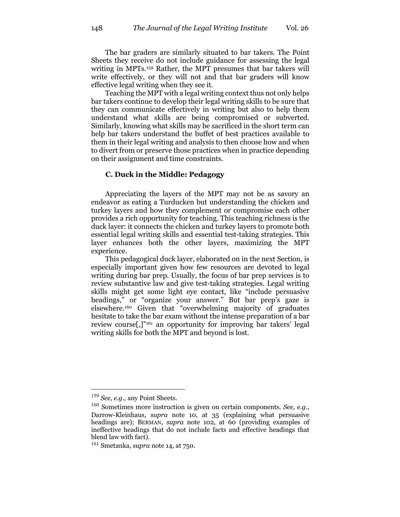The bar graders are similarly situated to bar takers. The Point Sheets they receive do not include guidance for assessing the legal writing in MPTs.159 Rather, the MPT presumes that bar takers will write effectively, or they will not and that bar graders will know effective legal writing when they see it.

Teaching the MPT with a legal writing context thus not only helps bar takers continue to develop their legal writing skills to be sure that they can communicate effectively in writing but also to help them understand what skills are being compromised or subverted. Similarly, knowing what skills may be sacrificed in the short term can help bar takers understand the buffet of best practices available to them in their legal writing and analysis to then choose how and when to divert from or preserve those practices when in practice depending on their assignment and time constraints.

#### **C. Duck in the Middle: Pedagogy**

Appreciating the layers of the MPT may not be as savory an endeavor as eating a Turducken but understanding the chicken and turkey layers and how they complement or compromise each other provides a rich opportunity for teaching. This teaching richness is the duck layer: it connects the chicken and turkey layers to promote both essential legal writing skills and essential test-taking strategies. This layer enhances both the other layers, maximizing the MPT experience.

This pedagogical duck layer, elaborated on in the next Section, is especially important given how few resources are devoted to legal writing during bar prep. Usually, the focus of bar prep services is to review substantive law and give test-taking strategies. Legal writing skills might get some light eye contact, like "include persuasive headings," or "organize your answer." But bar prep's gaze is elsewhere.160 Given that "overwhelming majority of graduates hesitate to take the bar exam without the intense preparation of a bar review course[,]"161 an opportunity for improving bar takers' legal writing skills for both the MPT and beyond is lost.

<sup>159</sup> *See, e.g.,* any Point Sheets.

<sup>160</sup> Sometimes more instruction is given on certain components. *See, e.g.*, Darrow-Kleinhaus, *supra* note 10, at 35 (explaining what persuasive headings are); BERMAN, *supra* note 102, at 60 (providing examples of ineffective headings that do not include facts and effective headings that blend law with fact).

<sup>161</sup> Smetanka, *supra* note 14, at 750.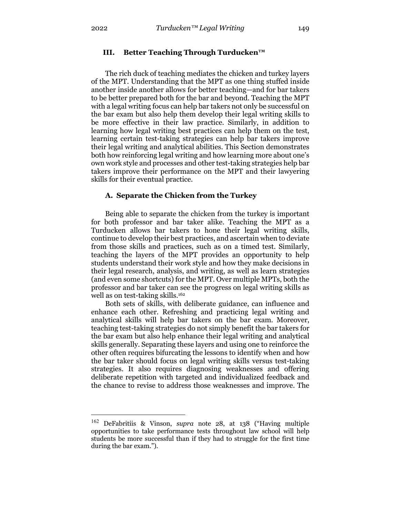The rich duck of teaching mediates the chicken and turkey layers of the MPT. Understanding that the MPT as one thing stuffed inside another inside another allows for better teaching—and for bar takers to be better prepared both for the bar and beyond. Teaching the MPT with a legal writing focus can help bar takers not only be successful on the bar exam but also help them develop their legal writing skills to be more effective in their law practice. Similarly, in addition to learning how legal writing best practices can help them on the test, learning certain test-taking strategies can help bar takers improve their legal writing and analytical abilities. This Section demonstrates both how reinforcing legal writing and how learning more about one's own work style and processes and other test-taking strategies help bar takers improve their performance on the MPT and their lawyering skills for their eventual practice.

# **A. Separate the Chicken from the Turkey**

Being able to separate the chicken from the turkey is important for both professor and bar taker alike. Teaching the MPT as a Turducken allows bar takers to hone their legal writing skills, continue to develop their best practices, and ascertain when to deviate from those skills and practices, such as on a timed test. Similarly, teaching the layers of the MPT provides an opportunity to help students understand their work style and how they make decisions in their legal research, analysis, and writing, as well as learn strategies (and even some shortcuts) for the MPT. Over multiple MPTs, both the professor and bar taker can see the progress on legal writing skills as well as on test-taking skills.<sup>162</sup>

Both sets of skills, with deliberate guidance, can influence and enhance each other. Refreshing and practicing legal writing and analytical skills will help bar takers on the bar exam. Moreover, teaching test-taking strategies do not simply benefit the bar takers for the bar exam but also help enhance their legal writing and analytical skills generally. Separating these layers and using one to reinforce the other often requires bifurcating the lessons to identify when and how the bar taker should focus on legal writing skills versus test-taking strategies. It also requires diagnosing weaknesses and offering deliberate repetition with targeted and individualized feedback and the chance to revise to address those weaknesses and improve. The

<sup>162</sup> DeFabritiis & Vinson, *supra* note 28, at 138 ("Having multiple opportunities to take performance tests throughout law school will help students be more successful than if they had to struggle for the first time during the bar exam.").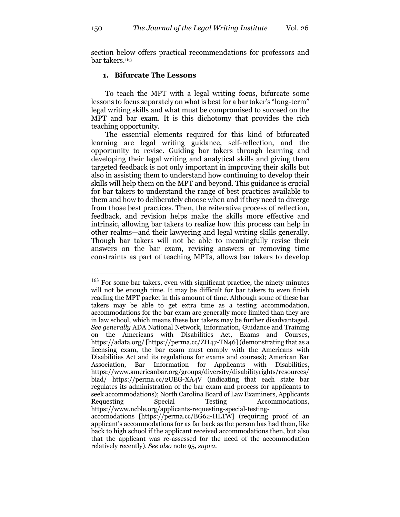section below offers practical recommendations for professors and bar takers.163

# **1. Bifurcate The Lessons**

To teach the MPT with a legal writing focus, bifurcate some lessons to focus separately on what is best for a bar taker's "long-term" legal writing skills and what must be compromised to succeed on the MPT and bar exam. It is this dichotomy that provides the rich teaching opportunity.

The essential elements required for this kind of bifurcated learning are legal writing guidance, self-reflection, and the opportunity to revise. Guiding bar takers through learning and developing their legal writing and analytical skills and giving them targeted feedback is not only important in improving their skills but also in assisting them to understand how continuing to develop their skills will help them on the MPT and beyond. This guidance is crucial for bar takers to understand the range of best practices available to them and how to deliberately choose when and if they need to diverge from those best practices. Then, the reiterative process of reflection, feedback, and revision helps make the skills more effective and intrinsic, allowing bar takers to realize how this process can help in other realms—and their lawyering and legal writing skills generally. Though bar takers will not be able to meaningfully revise their answers on the bar exam, revising answers or removing time constraints as part of teaching MPTs, allows bar takers to develop

<sup>&</sup>lt;sup>163</sup> For some bar takers, even with significant practice, the ninety minutes will not be enough time. It may be difficult for bar takers to even finish reading the MPT packet in this amount of time. Although some of these bar takers may be able to get extra time as a testing accommodation, accommodations for the bar exam are generally more limited than they are in law school, which means these bar takers may be further disadvantaged. *See generally* ADA National Network, Information, Guidance and Training on the Americans with Disabilities Act, Exams and Courses, https://adata.org/ [https://perma.cc/ZH47-TN46] (demonstrating that as a licensing exam, the bar exam must comply with the Americans with Disabilities Act and its regulations for exams and courses); American Bar Association, Bar Information for Applicants with Disabilities, https://www.americanbar.org/groups/diversity/disabilityrights/resources/ biad/ https://perma.cc/2UEG-XA4V (indicating that each state bar regulates its administration of the bar exam and process for applicants to seek accommodations); North Carolina Board of Law Examiners, Applicants Requesting Special Testing Accommodations, https://www.ncble.org/applicants-requesting-special-testingaccomodations [https://perma.cc/BG62-HLTW] (requiring proof of an applicant's accommodations for as far back as the person has had them, like back to high school if the applicant received accommodations then, but also

that the applicant was re-assessed for the need of the accommodation relatively recently). *See also* note 95, *supra*.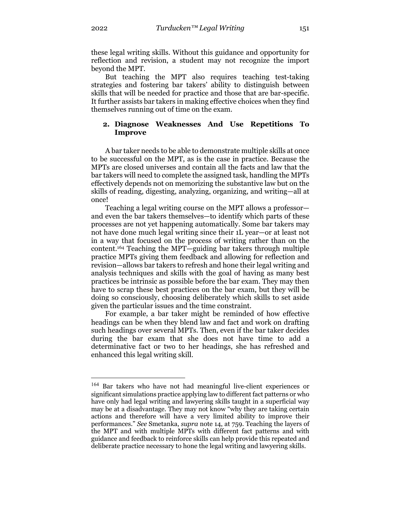these legal writing skills. Without this guidance and opportunity for reflection and revision, a student may not recognize the import beyond the MPT.

But teaching the MPT also requires teaching test-taking strategies and fostering bar takers' ability to distinguish between skills that will be needed for practice and those that are bar-specific. It further assists bar takers in making effective choices when they find themselves running out of time on the exam.

#### **2. Diagnose Weaknesses And Use Repetitions To Improve**

A bar taker needs to be able to demonstrate multiple skills at once to be successful on the MPT, as is the case in practice. Because the MPTs are closed universes and contain all the facts and law that the bar takers will need to complete the assigned task, handling the MPTs effectively depends not on memorizing the substantive law but on the skills of reading, digesting, analyzing, organizing, and writing—all at once!

Teaching a legal writing course on the MPT allows a professor and even the bar takers themselves—to identify which parts of these processes are not yet happening automatically. Some bar takers may not have done much legal writing since their 1L year—or at least not in a way that focused on the process of writing rather than on the content.164 Teaching the MPT—guiding bar takers through multiple practice MPTs giving them feedback and allowing for reflection and revision—allows bar takers to refresh and hone their legal writing and analysis techniques and skills with the goal of having as many best practices be intrinsic as possible before the bar exam. They may then have to scrap these best practices on the bar exam, but they will be doing so consciously, choosing deliberately which skills to set aside given the particular issues and the time constraint.

For example, a bar taker might be reminded of how effective headings can be when they blend law and fact and work on drafting such headings over several MPTs. Then, even if the bar taker decides during the bar exam that she does not have time to add a determinative fact or two to her headings, she has refreshed and enhanced this legal writing skill.

<sup>&</sup>lt;sup>164</sup> Bar takers who have not had meaningful live-client experiences or significant simulations practice applying law to different fact patterns or who have only had legal writing and lawyering skills taught in a superficial way may be at a disadvantage. They may not know "why they are taking certain actions and therefore will have a very limited ability to improve their performances." *See* Smetanka, *supra* note 14, at 759. Teaching the layers of the MPT and with multiple MPTs with different fact patterns and with guidance and feedback to reinforce skills can help provide this repeated and deliberate practice necessary to hone the legal writing and lawyering skills.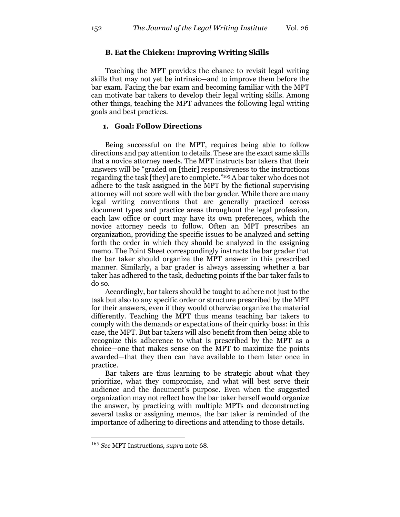# **B. Eat the Chicken: Improving Writing Skills**

Teaching the MPT provides the chance to revisit legal writing skills that may not yet be intrinsic—and to improve them before the bar exam. Facing the bar exam and becoming familiar with the MPT can motivate bar takers to develop their legal writing skills. Among other things, teaching the MPT advances the following legal writing goals and best practices.

# **1. Goal: Follow Directions**

Being successful on the MPT, requires being able to follow directions and pay attention to details. These are the exact same skills that a novice attorney needs. The MPT instructs bar takers that their answers will be "graded on [their] responsiveness to the instructions regarding the task [they] are to complete."165 A bar taker who does not adhere to the task assigned in the MPT by the fictional supervising attorney will not score well with the bar grader. While there are many legal writing conventions that are generally practiced across document types and practice areas throughout the legal profession, each law office or court may have its own preferences, which the novice attorney needs to follow. Often an MPT prescribes an organization, providing the specific issues to be analyzed and setting forth the order in which they should be analyzed in the assigning memo. The Point Sheet correspondingly instructs the bar grader that the bar taker should organize the MPT answer in this prescribed manner. Similarly, a bar grader is always assessing whether a bar taker has adhered to the task, deducting points if the bar taker fails to do so.

Accordingly, bar takers should be taught to adhere not just to the task but also to any specific order or structure prescribed by the MPT for their answers, even if they would otherwise organize the material differently. Teaching the MPT thus means teaching bar takers to comply with the demands or expectations of their quirky boss: in this case, the MPT. But bar takers will also benefit from then being able to recognize this adherence to what is prescribed by the MPT as a choice—one that makes sense on the MPT to maximize the points awarded—that they then can have available to them later once in practice.

Bar takers are thus learning to be strategic about what they prioritize, what they compromise, and what will best serve their audience and the document's purpose. Even when the suggested organization may not reflect how the bar taker herself would organize the answer, by practicing with multiple MPTs and deconstructing several tasks or assigning memos, the bar taker is reminded of the importance of adhering to directions and attending to those details.

<sup>165</sup> *See* MPT Instructions, *supra* note 68.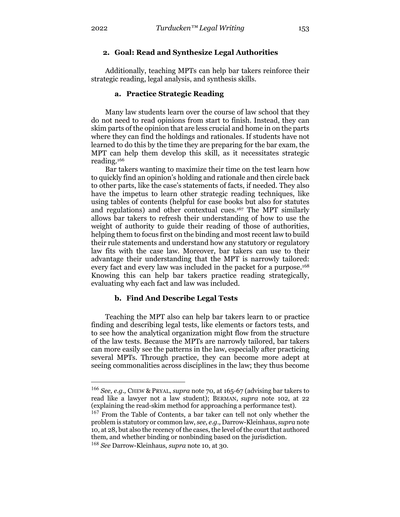# **2. Goal: Read and Synthesize Legal Authorities**

Additionally, teaching MPTs can help bar takers reinforce their strategic reading, legal analysis, and synthesis skills.

## **a. Practice Strategic Reading**

Many law students learn over the course of law school that they do not need to read opinions from start to finish. Instead, they can skim parts of the opinion that are less crucial and home in on the parts where they can find the holdings and rationales. If students have not learned to do this by the time they are preparing for the bar exam, the MPT can help them develop this skill, as it necessitates strategic reading.166

Bar takers wanting to maximize their time on the test learn how to quickly find an opinion's holding and rationale and then circle back to other parts, like the case's statements of facts, if needed. They also have the impetus to learn other strategic reading techniques, like using tables of contents (helpful for case books but also for statutes and regulations) and other contextual cues.167 The MPT similarly allows bar takers to refresh their understanding of how to use the weight of authority to guide their reading of those of authorities, helping them to focus first on the binding and most recent law to build their rule statements and understand how any statutory or regulatory law fits with the case law. Moreover, bar takers can use to their advantage their understanding that the MPT is narrowly tailored: every fact and every law was included in the packet for a purpose.168 Knowing this can help bar takers practice reading strategically, evaluating why each fact and law was included.

# **b. Find And Describe Legal Tests**

Teaching the MPT also can help bar takers learn to or practice finding and describing legal tests, like elements or factors tests, and to see how the analytical organization might flow from the structure of the law tests. Because the MPTs are narrowly tailored, bar takers can more easily see the patterns in the law, especially after practicing several MPTs. Through practice, they can become more adept at seeing commonalities across disciplines in the law; they thus become

<sup>166</sup> *See, e.g.,* CHEW & PRYAL, *supra* note 70, at 165-67 (advising bar takers to read like a lawyer not a law student); BERMAN, *supra* note 102, at 22 (explaining the read-skim method for approaching a performance test).

<sup>&</sup>lt;sup>167</sup> From the Table of Contents, a bar taker can tell not only whether the problem is statutory or common law, *see, e.g.,* Darrow-Kleinhaus, *supra* note 10, at 28, but also the recency of the cases, the level of the court that authored them, and whether binding or nonbinding based on the jurisdiction.

<sup>168</sup> *See* Darrow-Kleinhaus, *supra* note 10, at 30.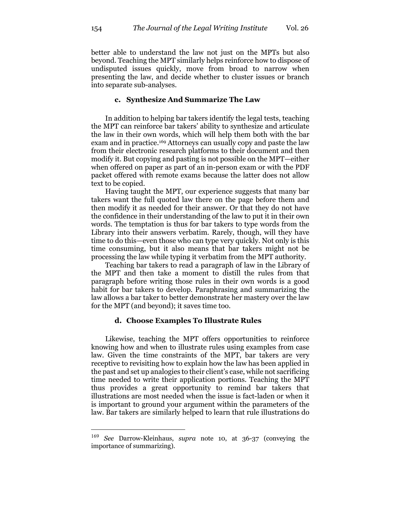better able to understand the law not just on the MPTs but also beyond. Teaching the MPT similarly helps reinforce how to dispose of undisputed issues quickly, move from broad to narrow when presenting the law, and decide whether to cluster issues or branch into separate sub-analyses.

#### **c. Synthesize And Summarize The Law**

In addition to helping bar takers identify the legal tests, teaching the MPT can reinforce bar takers' ability to synthesize and articulate the law in their own words, which will help them both with the bar exam and in practice.169 Attorneys can usually copy and paste the law from their electronic research platforms to their document and then modify it. But copying and pasting is not possible on the MPT—either when offered on paper as part of an in-person exam or with the PDF packet offered with remote exams because the latter does not allow text to be copied.

Having taught the MPT, our experience suggests that many bar takers want the full quoted law there on the page before them and then modify it as needed for their answer. Or that they do not have the confidence in their understanding of the law to put it in their own words. The temptation is thus for bar takers to type words from the Library into their answers verbatim. Rarely, though, will they have time to do this—even those who can type very quickly. Not only is this time consuming, but it also means that bar takers might not be processing the law while typing it verbatim from the MPT authority.

Teaching bar takers to read a paragraph of law in the Library of the MPT and then take a moment to distill the rules from that paragraph before writing those rules in their own words is a good habit for bar takers to develop. Paraphrasing and summarizing the law allows a bar taker to better demonstrate her mastery over the law for the MPT (and beyond); it saves time too.

#### **d. Choose Examples To Illustrate Rules**

Likewise, teaching the MPT offers opportunities to reinforce knowing how and when to illustrate rules using examples from case law. Given the time constraints of the MPT, bar takers are very receptive to revisiting how to explain how the law has been applied in the past and set up analogies to their client's case, while not sacrificing time needed to write their application portions. Teaching the MPT thus provides a great opportunity to remind bar takers that illustrations are most needed when the issue is fact-laden or when it is important to ground your argument within the parameters of the law. Bar takers are similarly helped to learn that rule illustrations do

<sup>169</sup> *See* Darrow-Kleinhaus, *supra* note 10, at 36-37 (conveying the importance of summarizing).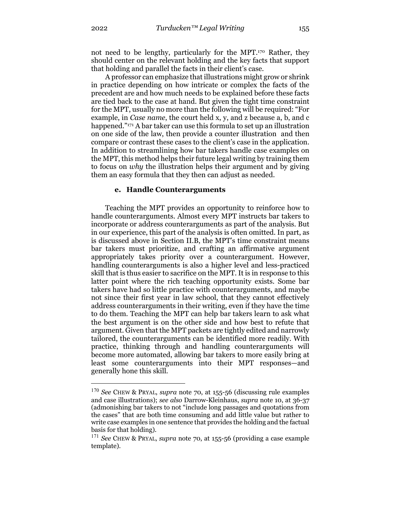not need to be lengthy, particularly for the MPT.170 Rather, they should center on the relevant holding and the key facts that support that holding and parallel the facts in their client's case.

A professor can emphasize that illustrations might grow or shrink in practice depending on how intricate or complex the facts of the precedent are and how much needs to be explained before these facts are tied back to the case at hand. But given the tight time constraint for the MPT, usually no more than the following will be required: "For example, in *Case name*, the court held x, y, and z because a, b, and c happened."171 A bar taker can use this formula to set up an illustration on one side of the law, then provide a counter illustration and then compare or contrast these cases to the client's case in the application. In addition to streamlining how bar takers handle case examples on the MPT, this method helps their future legal writing by training them to focus on *why* the illustration helps their argument and by giving them an easy formula that they then can adjust as needed.

#### **e. Handle Counterarguments**

Teaching the MPT provides an opportunity to reinforce how to handle counterarguments. Almost every MPT instructs bar takers to incorporate or address counterarguments as part of the analysis. But in our experience, this part of the analysis is often omitted. In part, as is discussed above in Section II.B, the MPT's time constraint means bar takers must prioritize, and crafting an affirmative argument appropriately takes priority over a counterargument. However, handling counterarguments is also a higher level and less-practiced skill that is thus easier to sacrifice on the MPT. It is in response to this latter point where the rich teaching opportunity exists. Some bar takers have had so little practice with counterarguments, and maybe not since their first year in law school, that they cannot effectively address counterarguments in their writing, even if they have the time to do them. Teaching the MPT can help bar takers learn to ask what the best argument is on the other side and how best to refute that argument. Given that the MPT packets are tightly edited and narrowly tailored, the counterarguments can be identified more readily. With practice, thinking through and handling counterarguments will become more automated, allowing bar takers to more easily bring at least some counterarguments into their MPT responses—and generally hone this skill.

<sup>170</sup> *See* CHEW & PRYAL, *supra* note 70, at 155-56 (discussing rule examples and case illustrations); *see also* Darrow-Kleinhaus, *supra* note 10, at 36-37 (admonishing bar takers to not "include long passages and quotations from the cases" that are both time consuming and add little value but rather to write case examples in one sentence that provides the holding and the factual basis for that holding).

<sup>171</sup> *See* CHEW & PRYAL, *supra* note 70, at 155-56 (providing a case example template).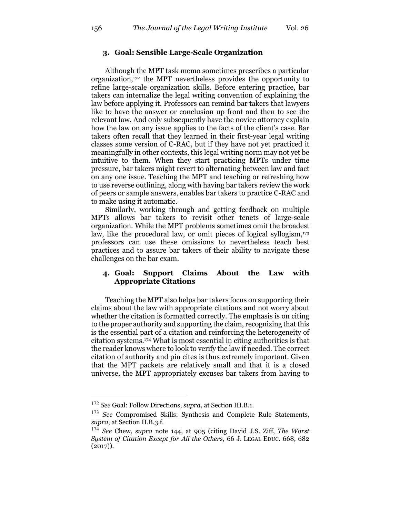# **3. Goal: Sensible Large-Scale Organization**

Although the MPT task memo sometimes prescribes a particular organization,172 the MPT nevertheless provides the opportunity to refine large-scale organization skills. Before entering practice, bar takers can internalize the legal writing convention of explaining the law before applying it. Professors can remind bar takers that lawyers like to have the answer or conclusion up front and then to see the relevant law. And only subsequently have the novice attorney explain how the law on any issue applies to the facts of the client's case. Bar takers often recall that they learned in their first-year legal writing classes some version of C-RAC, but if they have not yet practiced it meaningfully in other contexts, this legal writing norm may not yet be intuitive to them. When they start practicing MPTs under time pressure, bar takers might revert to alternating between law and fact on any one issue. Teaching the MPT and teaching or refreshing how to use reverse outlining, along with having bar takers review the work of peers or sample answers, enables bar takers to practice C-RAC and to make using it automatic.

Similarly, working through and getting feedback on multiple MPTs allows bar takers to revisit other tenets of large-scale organization. While the MPT problems sometimes omit the broadest law, like the procedural law, or omit pieces of logical syllogism,<sup>173</sup> professors can use these omissions to nevertheless teach best practices and to assure bar takers of their ability to navigate these challenges on the bar exam.

# **4. Goal: Support Claims About the Law with Appropriate Citations**

Teaching the MPT also helps bar takers focus on supporting their claims about the law with appropriate citations and not worry about whether the citation is formatted correctly. The emphasis is on citing to the proper authority and supporting the claim, recognizing that this is the essential part of a citation and reinforcing the heterogeneity of citation systems.174 What is most essential in citing authorities is that the reader knows where to look to verify the law if needed. The correct citation of authority and pin cites is thus extremely important. Given that the MPT packets are relatively small and that it is a closed universe, the MPT appropriately excuses bar takers from having to

<sup>172</sup> *See* Goal: Follow Directions, *supra*, at Section III.B.1.

<sup>173</sup> *See* Compromised Skills: Synthesis and Complete Rule Statements, *supra*, at Section II.B.3.f.

<sup>174</sup> *See* Chew, *supra* note 144, at 905 (citing David J.S. Ziff, *The Worst System of Citation Except for All the Others*, 66 J. LEGAL EDUC. 668, 682  $(2017)$ .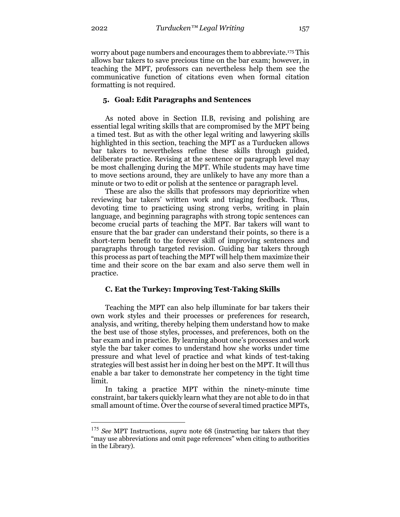worry about page numbers and encourages them to abbreviate.175 This allows bar takers to save precious time on the bar exam; however, in teaching the MPT, professors can nevertheless help them see the communicative function of citations even when formal citation formatting is not required.

#### **5. Goal: Edit Paragraphs and Sentences**

As noted above in Section II.B, revising and polishing are essential legal writing skills that are compromised by the MPT being a timed test. But as with the other legal writing and lawyering skills highlighted in this section, teaching the MPT as a Turducken allows bar takers to nevertheless refine these skills through guided, deliberate practice. Revising at the sentence or paragraph level may be most challenging during the MPT. While students may have time to move sections around, they are unlikely to have any more than a minute or two to edit or polish at the sentence or paragraph level.

These are also the skills that professors may deprioritize when reviewing bar takers' written work and triaging feedback. Thus, devoting time to practicing using strong verbs, writing in plain language, and beginning paragraphs with strong topic sentences can become crucial parts of teaching the MPT. Bar takers will want to ensure that the bar grader can understand their points, so there is a short-term benefit to the forever skill of improving sentences and paragraphs through targeted revision. Guiding bar takers through this process as part of teaching the MPT will help them maximize their time and their score on the bar exam and also serve them well in practice.

#### **C. Eat the Turkey: Improving Test-Taking Skills**

Teaching the MPT can also help illuminate for bar takers their own work styles and their processes or preferences for research, analysis, and writing, thereby helping them understand how to make the best use of those styles, processes, and preferences, both on the bar exam and in practice. By learning about one's processes and work style the bar taker comes to understand how she works under time pressure and what level of practice and what kinds of test-taking strategies will best assist her in doing her best on the MPT. It will thus enable a bar taker to demonstrate her competency in the tight time limit.

In taking a practice MPT within the ninety-minute time constraint, bar takers quickly learn what they are not able to do in that small amount of time. Over the course of several timed practice MPTs,

<sup>175</sup> *See* MPT Instructions, *supra* note 68 (instructing bar takers that they "may use abbreviations and omit page references" when citing to authorities in the Library).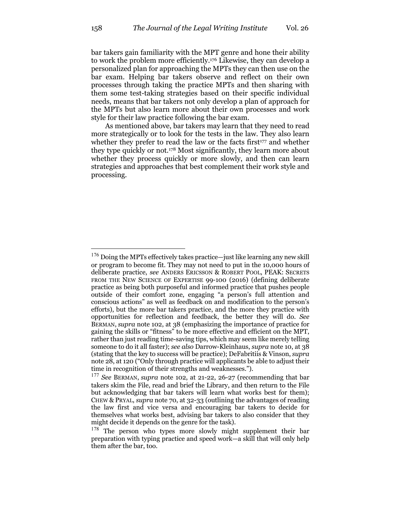bar takers gain familiarity with the MPT genre and hone their ability to work the problem more efficiently.176 Likewise, they can develop a personalized plan for approaching the MPTs they can then use on the bar exam. Helping bar takers observe and reflect on their own processes through taking the practice MPTs and then sharing with them some test-taking strategies based on their specific individual needs, means that bar takers not only develop a plan of approach for the MPTs but also learn more about their own processes and work style for their law practice following the bar exam.

As mentioned above, bar takers may learn that they need to read more strategically or to look for the tests in the law. They also learn whether they prefer to read the law or the facts first<sup>177</sup> and whether they type quickly or not.178 Most significantly, they learn more about whether they process quickly or more slowly, and then can learn strategies and approaches that best complement their work style and processing.

<sup>176</sup> Doing the MPTs effectively takes practice—just like learning any new skill or program to become fit. They may not need to put in the 10,000 hours of deliberate practice, *see* ANDERS ERICSSON & ROBERT POOL, PEAK: SECRETS FROM THE NEW SCIENCE OF EXPERTISE 99-100 (2016) (defining deliberate practice as being both purposeful and informed practice that pushes people outside of their comfort zone, engaging "a person's full attention and conscious actions" as well as feedback on and modification to the person's efforts), but the more bar takers practice, and the more they practice with opportunities for reflection and feedback, the better they will do. *See*  BERMAN, *supra* note 102, at 38 (emphasizing the importance of practice for gaining the skills or "fitness" to be more effective and efficient on the MPT, rather than just reading time-saving tips, which may seem like merely telling someone to do it all faster); *see also* Darrow-Kleinhaus, *supra* note 10, at 38 (stating that the key to success will be practice); DeFabritiis & Vinson, *supra* note 28, at 120 ("Only through practice will applicants be able to adjust their time in recognition of their strengths and weaknesses.").

<sup>177</sup> *See* BERMAN, *supra* note 102, at 21-22, 26-27 (recommending that bar takers skim the File, read and brief the Library, and then return to the File but acknowledging that bar takers will learn what works best for them); CHEW & PRYAL, *supra* note 70, at 32-33 (outlining the advantages of reading the law first and vice versa and encouraging bar takers to decide for themselves what works best, advising bar takers to also consider that they might decide it depends on the genre for the task).

<sup>&</sup>lt;sup>178</sup> The person who types more slowly might supplement their bar preparation with typing practice and speed work—a skill that will only help them after the bar, too.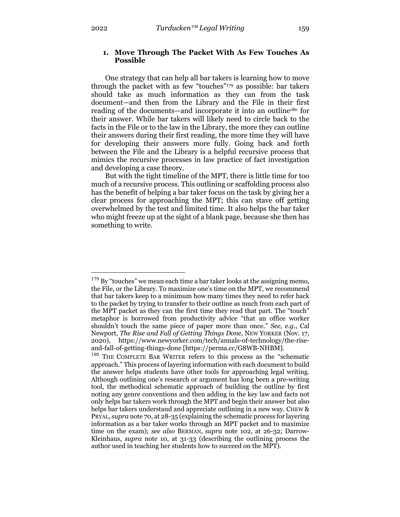## **1. Move Through The Packet With As Few Touches As Possible**

One strategy that can help all bar takers is learning how to move through the packet with as few "touches"179 as possible: bar takers should take as much information as they can from the task document—and then from the Library and the File in their first reading of the documents—and incorporate it into an outline180 for their answer. While bar takers will likely need to circle back to the facts in the File or to the law in the Library, the more they can outline their answers during their first reading, the more time they will have for developing their answers more fully. Going back and forth between the File and the Library is a helpful recursive process that mimics the recursive processes in law practice of fact investigation and developing a case theory.

But with the tight timeline of the MPT, there is little time for too much of a recursive process. This outlining or scaffolding process also has the benefit of helping a bar taker focus on the task by giving her a clear process for approaching the MPT; this can stave off getting overwhelmed by the test and limited time. It also helps the bar taker who might freeze up at the sight of a blank page, because she then has something to write.

 $179$  By "touches" we mean each time a bar taker looks at the assigning memo, the File, or the Library. To maximize one's time on the MPT, we recommend that bar takers keep to a minimum how many times they need to refer back to the packet by trying to transfer to their outline as much from each part of the MPT packet as they can the first time they read that part. The "touch" metaphor is borrowed from productivity advice "that an office worker shouldn't touch the same piece of paper more than once." *See, e.g.*, Cal Newport, *The Rise and Fall of Getting Things Done*, NEW YORKER (Nov. 17, 2020), https://www.newyorker.com/tech/annals-of-technology/the-riseand-fall-of-getting-things-done [https://perma.cc/G8WB-NHBM].

<sup>180</sup> THE COMPLETE BAR WRITER refers to this process as the "schematic approach." This process of layering information with each document to build the answer helps students have other tools for approaching legal writing. Although outlining one's research or argument has long been a pre-writing tool, the methodical schematic approach of building the outline by first noting any genre conventions and then adding in the key law and facts not only helps bar takers work through the MPT and begin their answer but also helps bar takers understand and appreciate outlining in a new way. CHEW & PRYAL, *supra* note 70, at 28-35 (explaining the schematic process for layering information as a bar taker works through an MPT packet and to maximize time on the exam); *see also* BERMAN, *supra* note 102, at 26-32; Darrow-Kleinhaus, *supra* note 10, at 31-33 (describing the outlining process the author used in teaching her students how to succeed on the MPT).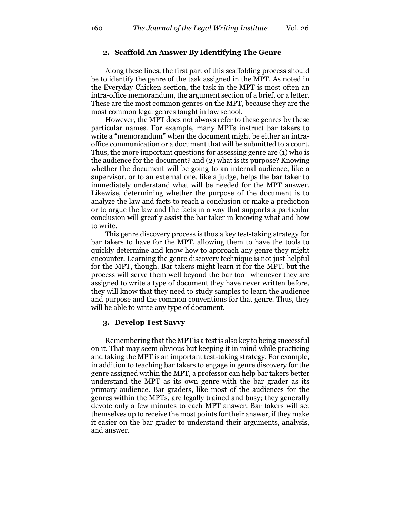#### **2. Scaffold An Answer By Identifying The Genre**

Along these lines, the first part of this scaffolding process should be to identify the genre of the task assigned in the MPT. As noted in the Everyday Chicken section, the task in the MPT is most often an intra-office memorandum, the argument section of a brief, or a letter. These are the most common genres on the MPT, because they are the most common legal genres taught in law school.

However, the MPT does not always refer to these genres by these particular names. For example, many MPTs instruct bar takers to write a "memorandum" when the document might be either an intraoffice communication or a document that will be submitted to a court. Thus, the more important questions for assessing genre are (1) who is the audience for the document? and (2) what is its purpose? Knowing whether the document will be going to an internal audience, like a supervisor, or to an external one, like a judge, helps the bar taker to immediately understand what will be needed for the MPT answer. Likewise, determining whether the purpose of the document is to analyze the law and facts to reach a conclusion or make a prediction or to argue the law and the facts in a way that supports a particular conclusion will greatly assist the bar taker in knowing what and how to write.

This genre discovery process is thus a key test-taking strategy for bar takers to have for the MPT, allowing them to have the tools to quickly determine and know how to approach any genre they might encounter. Learning the genre discovery technique is not just helpful for the MPT, though. Bar takers might learn it for the MPT, but the process will serve them well beyond the bar too—whenever they are assigned to write a type of document they have never written before, they will know that they need to study samples to learn the audience and purpose and the common conventions for that genre. Thus, they will be able to write any type of document.

#### **3. Develop Test Savvy**

Remembering that the MPT is a test is also key to being successful on it. That may seem obvious but keeping it in mind while practicing and taking the MPT is an important test-taking strategy. For example, in addition to teaching bar takers to engage in genre discovery for the genre assigned within the MPT, a professor can help bar takers better understand the MPT as its own genre with the bar grader as its primary audience. Bar graders, like most of the audiences for the genres within the MPTs, are legally trained and busy; they generally devote only a few minutes to each MPT answer. Bar takers will set themselves up to receive the most points for their answer, if they make it easier on the bar grader to understand their arguments, analysis, and answer.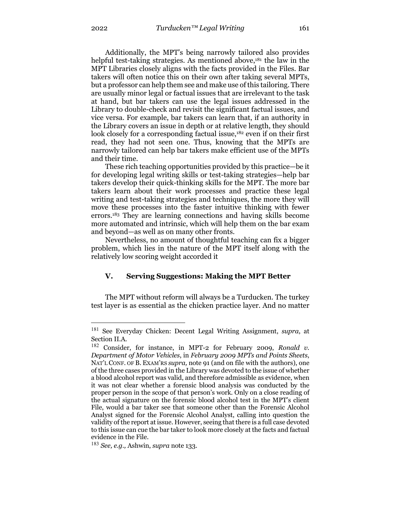Additionally, the MPT's being narrowly tailored also provides helpful test-taking strategies. As mentioned above, $181$  the law in the MPT Libraries closely aligns with the facts provided in the Files. Bar takers will often notice this on their own after taking several MPTs, but a professor can help them see and make use of this tailoring. There are usually minor legal or factual issues that are irrelevant to the task at hand, but bar takers can use the legal issues addressed in the Library to double-check and revisit the significant factual issues, and vice versa. For example, bar takers can learn that, if an authority in the Library covers an issue in depth or at relative length, they should look closely for a corresponding factual issue,<sup>182</sup> even if on their first read, they had not seen one. Thus, knowing that the MPTs are narrowly tailored can help bar takers make efficient use of the MPTs and their time.

These rich teaching opportunities provided by this practice—be it for developing legal writing skills or test-taking strategies—help bar takers develop their quick-thinking skills for the MPT. The more bar takers learn about their work processes and practice these legal writing and test-taking strategies and techniques, the more they will move these processes into the faster intuitive thinking with fewer errors.183 They are learning connections and having skills become more automated and intrinsic, which will help them on the bar exam and beyond—as well as on many other fronts.

Nevertheless, no amount of thoughtful teaching can fix a bigger problem, which lies in the nature of the MPT itself along with the relatively low scoring weight accorded it

# **V. Serving Suggestions: Making the MPT Better**

The MPT without reform will always be a Turducken. The turkey test layer is as essential as the chicken practice layer. And no matter

<sup>181</sup> See Everyday Chicken: Decent Legal Writing Assignment, *supra*, at Section II.A.

<sup>182</sup> Consider, for instance, in MPT-2 for February 2009, *Ronald v. Department of Motor Vehicles*, in *February 2009 MPTs and Points Sheets*, NAT'L CONF. OF B. EXAM'RS *supra,* note 91 (and on file with the authors), one of the three cases provided in the Library was devoted to the issue of whether a blood alcohol report was valid, and therefore admissible as evidence, when it was not clear whether a forensic blood analysis was conducted by the proper person in the scope of that person's work. Only on a close reading of the actual signature on the forensic blood alcohol test in the MPT's client File, would a bar taker see that someone other than the Forensic Alcohol Analyst signed for the Forensic Alcohol Analyst, calling into question the validity of the report at issue. However, seeing that there is a full case devoted to this issue can cue the bar taker to look more closely at the facts and factual evidence in the File.

<sup>183</sup> *See, e.g.,* Ashwin, *supra* note 133.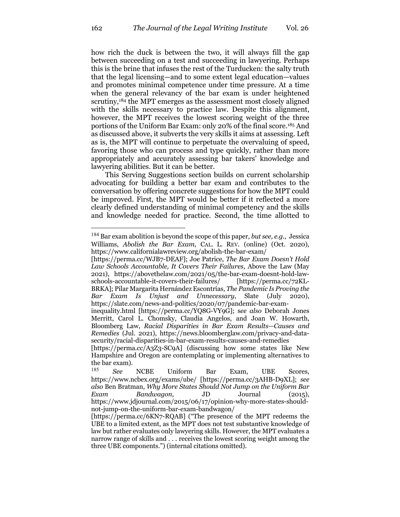how rich the duck is between the two, it will always fill the gap between succeeding on a test and succeeding in lawyering. Perhaps this is the brine that infuses the rest of the Turducken: the salty truth that the legal licensing—and to some extent legal education—values and promotes minimal competence under time pressure. At a time when the general relevancy of the bar exam is under heightened scrutiny,<sup>184</sup> the MPT emerges as the assessment most closely aligned with the skills necessary to practice law. Despite this alignment, however, the MPT receives the lowest scoring weight of the three portions of the Uniform Bar Exam: only 20% of the final score.185 And as discussed above, it subverts the very skills it aims at assessing. Left as is, the MPT will continue to perpetuate the overvaluing of speed, favoring those who can process and type quickly, rather than more appropriately and accurately assessing bar takers' knowledge and lawyering abilities. But it can be better.

This Serving Suggestions section builds on current scholarship advocating for building a better bar exam and contributes to the conversation by offering concrete suggestions for how the MPT could be improved. First, the MPT would be better if it reflected a more clearly defined understanding of minimal competency and the skills and knowledge needed for practice. Second, the time allotted to

<sup>184</sup> Bar exam abolition is beyond the scope of this paper, *but see, e.g.,* Jessica Williams, *Abolish the Bar Exam*, CAL. L. REV. (online) (Oct. 2020), https://www.californialawreview.org/abolish-the-bar-exam/

<sup>[</sup>https://perma.cc/WJB7-DEAF]; Joe Patrice, *The Bar Exam Doesn't Hold Law Schools Accountable, It Covers Their Failures*, Above the Law (May 2021), https://abovethelaw.com/2021/05/the-bar-exam-doesnt-hold-lawschools-accountable-it-covers-their-failures/ [https://perma.cc/72KL-BRKA]; Pilar Margarita Hernández Escontrías, *The Pandemic Is Proving the Bar Exam Is Unjust and Unnecessary*, Slate (July 2020), https://slate.com/news-and-politics/2020/07/pandemic-bar-exam-

inequality.html [https://perma.cc/YQ8G-VY9G]; s*ee also* Deborah Jones Merritt, Carol L. Chomsky, Claudia Angelos, and Joan W. Howarth, Bloomberg Law, *Racial Disparities in Bar Exam Results—Causes and Remedies* (Jul. 2021), https://news.bloomberglaw.com/privacy-and-datasecurity/racial-disparities-in-bar-exam-results-causes-and-remedies

<sup>[</sup>https://perma.cc/A3Z3-SC9A] (discussing how some states like New Hampshire and Oregon are contemplating or implementing alternatives to the bar exam).

<sup>185</sup> *See* NCBE Uniform Bar Exam, UBE Scores, https://www.ncbex.org/exams/ube/ [https://perma.cc/3AHB-D9XL]; *see also* Ben Bratman, *Why More States Should Not Jump on the Uniform Bar Exam Bandwagon*, JD Journal (2015), https://www.jdjournal.com/2015/06/17/opinion-why-more-states-shouldnot-jump-on-the-uniform-bar-exam-bandwagon/

<sup>[</sup>https://perma.cc/6KN7-RQAB] ("The presence of the MPT redeems the UBE to a limited extent, as the MPT does not test substantive knowledge of law but rather evaluates only lawyering skills. However, the MPT evaluates a narrow range of skills and . . . receives the lowest scoring weight among the three UBE components.") (internal citations omitted).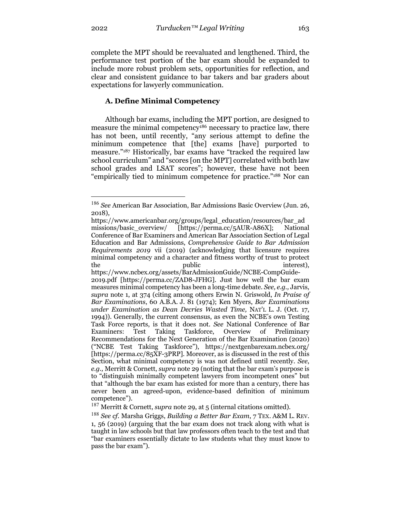complete the MPT should be reevaluated and lengthened. Third, the performance test portion of the bar exam should be expanded to include more robust problem sets, opportunities for reflection, and clear and consistent guidance to bar takers and bar graders about expectations for lawyerly communication.

# **A. Define Minimal Competency**

Although bar exams, including the MPT portion, are designed to measure the minimal competency<sup>186</sup> necessary to practice law, there has not been, until recently, "any serious attempt to define the minimum competence that [the] exams [have] purported to measure."187 Historically, bar exams have "tracked the required law school curriculum" and "scores [on the MPT] correlated with both law school grades and LSAT scores"; however, these have not been "empirically tied to minimum competence for practice."188 Nor can

<sup>186</sup> *See* American Bar Association, Bar Admissions Basic Overview (Jun. 26, 2018),

https://www.americanbar.org/groups/legal\_education/resources/bar\_ad missions/basic\_overview/ [https://perma.cc/5AUR-A86X]; National Conference of Bar Examiners and American Bar Association Section of Legal Education and Bar Admissions, *Comprehensive Guide to Bar Admission Requirements 2019* vii (2019) (acknowledging that licensure requires minimal competency and a character and fitness worthy of trust to protect the public interest),

https://www.ncbex.org/assets/BarAdmissionGuide/NCBE-CompGuide-2019.pdf [https://perma.cc/ZAD8-JFHG]. Just how well the bar exam measures minimal competency has been a long-time debate. *See, e.g.,* Jarvis, *supra* note 1, at 374 (citing among others Erwin N. Griswold, *In Praise of Bar Examinations*, 60 A.B.A. J. 81 (1974); Ken Myers, *Bar Examinations under Examination as Dean Decries Wasted Time,* NAT'L L. J. (Oct. 17, 1994)). Generally, the current consensus, as even the NCBE's own Testing Task Force reports, is that it does not. *See* National Conference of Bar Examiners: Test Taking Taskforce, Overview of Preliminary Recommendations for the Next Generation of the Bar Examination (2020) ("NCBE Test Taking Taskforce"), https://nextgenbarexam.ncbex.org/ [https://perma.cc/85XF-3PRP]. Moreover, as is discussed in the rest of this Section, what minimal competency is was not defined until recently. *See*, *e.g.,* Merritt & Cornett, *supra* note 29 (noting that the bar exam's purpose is to "distinguish minimally competent lawyers from incompetent ones" but that "although the bar exam has existed for more than a century, there has never been an agreed-upon, evidence-based definition of minimum competence").

<sup>187</sup> Merritt & Cornett, *supra* note 29, at 5 (internal citations omitted).

<sup>188</sup> *See cf.* Marsha Griggs, *Building a Better Bar Exam*, 7 TEX. A&M L. REV. 1, 56 (2019) (arguing that the bar exam does not track along with what is taught in law schools but that law professors often teach to the test and that "bar examiners essentially dictate to law students what they must know to pass the bar exam").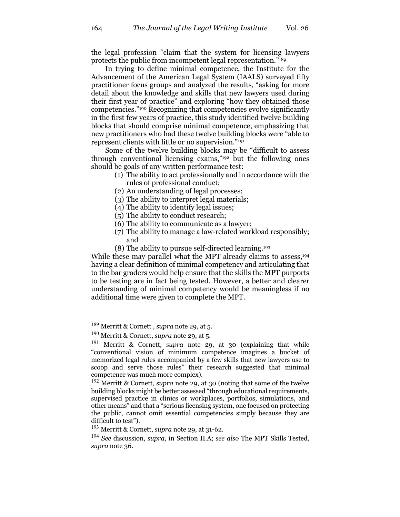the legal profession "claim that the system for licensing lawyers protects the public from incompetent legal representation."189

In trying to define minimal competence, the Institute for the Advancement of the American Legal System (IAALS) surveyed fifty practitioner focus groups and analyzed the results, "asking for more detail about the knowledge and skills that new lawyers used during their first year of practice" and exploring "how they obtained those competencies."190 Recognizing that competencies evolve significantly in the first few years of practice, this study identified twelve building blocks that should comprise minimal competence, emphasizing that new practitioners who had these twelve building blocks were "able to represent clients with little or no supervision."191

Some of the twelve building blocks may be "difficult to assess through conventional licensing exams,"192 but the following ones should be goals of any written performance test:

- (1) The ability to act professionally and in accordance with the rules of professional conduct;
- (2) An understanding of legal processes;
- (3) The ability to interpret legal materials;
- (4) The ability to identify legal issues;
- (5) The ability to conduct research;
- (6) The ability to communicate as a lawyer;
- (7) The ability to manage a law-related workload responsibly; and
- (8) The ability to pursue self-directed learning.193

While these may parallel what the MPT already claims to assess.<sup>194</sup> having a clear definition of minimal competency and articulating that to the bar graders would help ensure that the skills the MPT purports to be testing are in fact being tested. However, a better and clearer understanding of minimal competency would be meaningless if no additional time were given to complete the MPT.

<sup>189</sup> Merritt & Cornett , *supra* note 29, at 5.

<sup>190</sup> Merritt & Cornett, *supra* note 29, at 5.

<sup>191</sup> Merritt & Cornett, *supra* note 29, at 30 (explaining that while "conventional vision of minimum competence imagines a bucket of memorized legal rules accompanied by a few skills that new lawyers use to scoop and serve those rules" their research suggested that minimal competence was much more complex).

<sup>192</sup> Merritt & Cornett, *supra* note 29, at 30 (noting that some of the twelve building blocks might be better assessed "through educational requirements, supervised practice in clinics or workplaces, portfolios, simulations, and other means" and that a "serious licensing system, one focused on protecting the public, cannot omit essential competencies simply because they are difficult to test").

<sup>193</sup> Merritt & Cornett, *supra* note 29, at 31-62.

<sup>194</sup> *See* discussion, *supra*, in Section II.A; *see also* The MPT Skills Tested, *supra* note 36.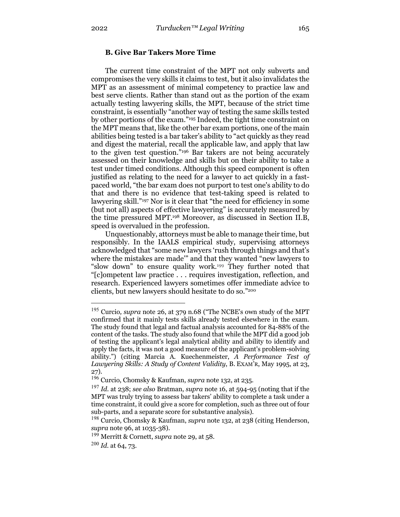# **B. Give Bar Takers More Time**

The current time constraint of the MPT not only subverts and compromises the very skills it claims to test, but it also invalidates the MPT as an assessment of minimal competency to practice law and best serve clients. Rather than stand out as the portion of the exam actually testing lawyering skills, the MPT, because of the strict time constraint, is essentially "another way of testing the same skills tested by other portions of the exam."195 Indeed, the tight time constraint on the MPT means that, like the other bar exam portions, one of the main abilities being tested is a bar taker's ability to "act quickly as they read and digest the material, recall the applicable law, and apply that law to the given test question."196 Bar takers are not being accurately assessed on their knowledge and skills but on their ability to take a test under timed conditions. Although this speed component is often justified as relating to the need for a lawyer to act quickly in a fastpaced world, "the bar exam does not purport to test one's ability to do that and there is no evidence that test-taking speed is related to lawyering skill."197 Nor is it clear that "the need for efficiency in some (but not all) aspects of effective lawyering" is accurately measured by the time pressured MPT.198 Moreover, as discussed in Section II.B, speed is overvalued in the profession.

Unquestionably, attorneys must be able to manage their time, but responsibly. In the IAALS empirical study, supervising attorneys acknowledged that "some new lawyers 'rush through things and that's where the mistakes are made'" and that they wanted "new lawyers to "slow down" to ensure quality work.199 They further noted that "[c]ompetent law practice . . . requires investigation, reflection, and research. Experienced lawyers sometimes offer immediate advice to clients, but new lawyers should hesitate to do so."200

<sup>195</sup> Curcio*, supra* note 26, at 379 n.68 ("The NCBE's own study of the MPT confirmed that it mainly tests skills already tested elsewhere in the exam. The study found that legal and factual analysis accounted for 84-88% of the content of the tasks. The study also found that while the MPT did a good job of testing the applicant's legal analytical ability and ability to identify and apply the facts, it was not a good measure of the applicant's problem-solving ability.") (citing Marcia A. Kuechenmeister, *A Performance Test of Lawyering Skills: A Study of Content Validity*, B. EXAM'R, May 1995, at 23, 27).

<sup>196</sup> Curcio, Chomsky & Kaufman, *supra* note 132, at 235.

<sup>197</sup> *Id.* at 238; *see also* Bratman, *supra* note 16, at 594-95 (noting that if the MPT was truly trying to assess bar takers' ability to complete a task under a time constraint, it could give a score for completion, such as three out of four sub-parts, and a separate score for substantive analysis).

<sup>198</sup> Curcio, Chomsky & Kaufman, *supra* note 132, at 238 (citing Henderson, *supra* note 96, at 1035-38).

<sup>199</sup> Merritt & Cornett, *supra* note 29, at 58.

<sup>200</sup> *Id.* at 64, 73.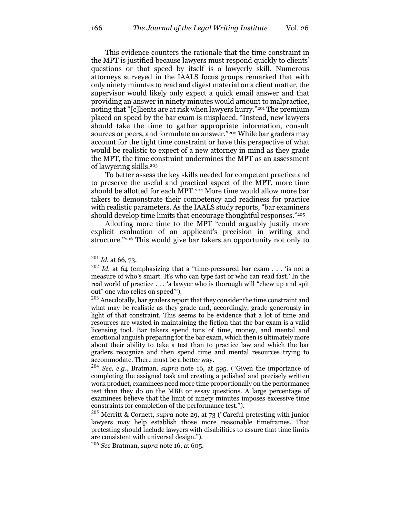This evidence counters the rationale that the time constraint in the MPT is justified because lawyers must respond quickly to clients' questions or that speed by itself is a lawyerly skill. Numerous attorneys surveyed in the IAALS focus groups remarked that with only ninety minutes to read and digest material on a client matter, the supervisor would likely only expect a quick email answer and that providing an answer in ninety minutes would amount to malpractice, noting that "[c]lients are at risk when lawyers hurry."201 The premium placed on speed by the bar exam is misplaced. "Instead, new lawyers should take the time to gather appropriate information, consult sources or peers, and formulate an answer."<sup>202</sup> While bar graders may account for the tight time constraint or have this perspective of what would be realistic to expect of a new attorney in mind as they grade the MPT, the time constraint undermines the MPT as an assessment of lawyering skills.203

To better assess the key skills needed for competent practice and to preserve the useful and practical aspect of the MPT, more time should be allotted for each MPT.<sup>204</sup> More time would allow more bar takers to demonstrate their competency and readiness for practice with realistic parameters. As the IAALS study reports, "bar examiners should develop time limits that encourage thoughtful responses."205

Allotting more time to the MPT "could arguably justify more explicit evaluation of an applicant's precision in writing and structure."206 This would give bar takers an opportunity not only to

<sup>206</sup> *See* Bratman, *supra* note 16, at 605.

<sup>201</sup> *Id.* at 66, 73.

 $202$  *Id.* at 64 (emphasizing that a "time-pressured bar exam . . . 'is not a measure of who's smart. It's who can type fast or who can read fast.' In the real world of practice . . . 'a lawyer who is thorough will "chew up and spit out" one who relies on speed'").

 $203$  Anecdotally, bar graders report that they consider the time constraint and what may be realistic as they grade and, accordingly, grade generously in light of that constraint. This seems to be evidence that a lot of time and resources are wasted in maintaining the fiction that the bar exam is a valid licensing tool. Bar takers spend tons of time, money, and mental and emotional anguish preparing for the bar exam, which then is ultimately more about their ability to take a test than to practice law and which the bar graders recognize and then spend time and mental resources trying to accommodate. There must be a better way.

<sup>204</sup> *See, e.g.*, Bratman, *supra* note 16, at 595. ("Given the importance of completing the assigned task and creating a polished and precisely written work product, examinees need more time proportionally on the performance test than they do on the MBE or essay questions. A large percentage of examinees believe that the limit of ninety minutes imposes excessive time constraints for completion of the performance test.").

<sup>205</sup> Merritt & Cornett, *supra* note 29, at 73 ("Careful pretesting with junior lawyers may help establish those more reasonable timeframes. That pretesting should include lawyers with disabilities to assure that time limits are consistent with universal design.").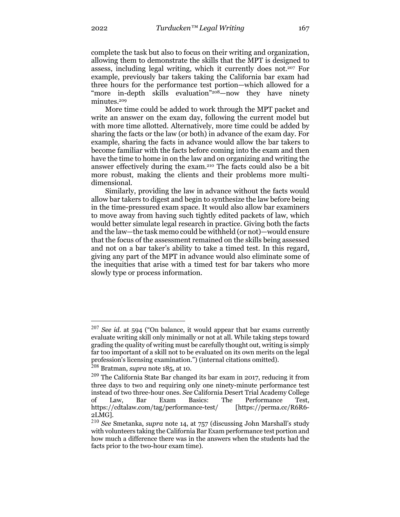complete the task but also to focus on their writing and organization, allowing them to demonstrate the skills that the MPT is designed to assess, including legal writing, which it currently does not.207 For example, previously bar takers taking the California bar exam had three hours for the performance test portion—which allowed for a "more in-depth skills evaluation"<sup>208</sup>—now they have ninety minutes.<sup>209</sup>

More time could be added to work through the MPT packet and write an answer on the exam day, following the current model but with more time allotted. Alternatively, more time could be added by sharing the facts or the law (or both) in advance of the exam day. For example, sharing the facts in advance would allow the bar takers to become familiar with the facts before coming into the exam and then have the time to home in on the law and on organizing and writing the answer effectively during the exam.210 The facts could also be a bit more robust, making the clients and their problems more multidimensional.

Similarly, providing the law in advance without the facts would allow bar takers to digest and begin to synthesize the law before being in the time-pressured exam space. It would also allow bar examiners to move away from having such tightly edited packets of law, which would better simulate legal research in practice. Giving both the facts and the law—the task memo could be withheld (or not)—would ensure that the focus of the assessment remained on the skills being assessed and not on a bar taker's ability to take a timed test. In this regard, giving any part of the MPT in advance would also eliminate some of the inequities that arise with a timed test for bar takers who more slowly type or process information.

<sup>207</sup> *See id.* at 594 ("On balance, it would appear that bar exams currently evaluate writing skill only minimally or not at all. While taking steps toward grading the quality of writing must be carefully thought out, writing is simply far too important of a skill not to be evaluated on its own merits on the legal profession's licensing examination.") (internal citations omitted).

<sup>208</sup> Bratman, *supra* note 185, at 10.

 $209$  The California State Bar changed its bar exam in 2017, reducing it from three days to two and requiring only one ninety-minute performance test instead of two three-hour ones. *See* California Desert Trial Academy College of Law, Bar Exam Basics: The Performance Test, https://cdtalaw.com/tag/performance-test/ [https://perma.cc/R6R6- 2LMG].

<sup>210</sup> *See* Smetanka, *supra* note 14, at 757 (discussing John Marshall's study with volunteers taking the California Bar Exam performance test portion and how much a difference there was in the answers when the students had the facts prior to the two-hour exam time).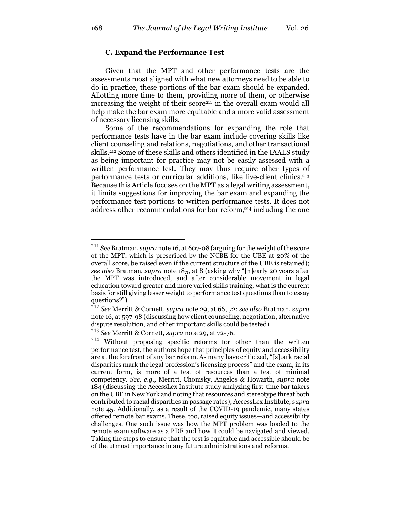# **C. Expand the Performance Test**

Given that the MPT and other performance tests are the assessments most aligned with what new attorneys need to be able to do in practice, these portions of the bar exam should be expanded. Allotting more time to them, providing more of them, or otherwise increasing the weight of their score211 in the overall exam would all help make the bar exam more equitable and a more valid assessment of necessary licensing skills.

Some of the recommendations for expanding the role that performance tests have in the bar exam include covering skills like client counseling and relations, negotiations, and other transactional skills.212 Some of these skills and others identified in the IAALS study as being important for practice may not be easily assessed with a written performance test. They may thus require other types of performance tests or curricular additions, like live-client clinics.213 Because this Article focuses on the MPT as a legal writing assessment, it limits suggestions for improving the bar exam and expanding the performance test portions to written performance tests. It does not address other recommendations for bar reform,<sup>214</sup> including the one

<sup>211</sup> *See* Bratman, *supra* note 16, at 607-08 (arguing for the weight of the score of the MPT, which is prescribed by the NCBE for the UBE at 20% of the overall score, be raised even if the current structure of the UBE is retained); *see also* Bratman, *supra* note 185, at 8 (asking why "[n]early 20 years after the MPT was introduced, and after considerable movement in legal education toward greater and more varied skills training, what is the current basis for still giving lesser weight to performance test questions than to essay questions?").

<sup>212</sup> *See* Merritt & Cornett, *supra* note 29, at 66, 72; *see also* Bratman, *supra* note 16, at 597-98 (discussing how client counseling, negotiation, alternative dispute resolution, and other important skills could be tested).

<sup>213</sup> *See* Merritt & Cornett, *supra* note 29, at 72-76.

<sup>214</sup> Without proposing specific reforms for other than the written performance test, the authors hope that principles of equity and accessibility are at the forefront of any bar reform. As many have criticized, "[s]tark racial disparities mark the legal profession's licensing process" and the exam, in its current form, is more of a test of resources than a test of minimal competency. *See, e.g.*, Merritt, Chomsky, Angelos & Howarth, *supra* note 184 (discussing the AccessLex Institute study analyzing first-time bar takers on the UBE in New York and noting that resources and stereotype threat both contributed to racial disparities in passage rates); AccessLex Institute, *supra* note 45. Additionally, as a result of the COVID-19 pandemic, many states offered remote bar exams. These, too, raised equity issues—and accessibility challenges. One such issue was how the MPT problem was loaded to the remote exam software as a PDF and how it could be navigated and viewed. Taking the steps to ensure that the test is equitable and accessible should be of the utmost importance in any future administrations and reforms.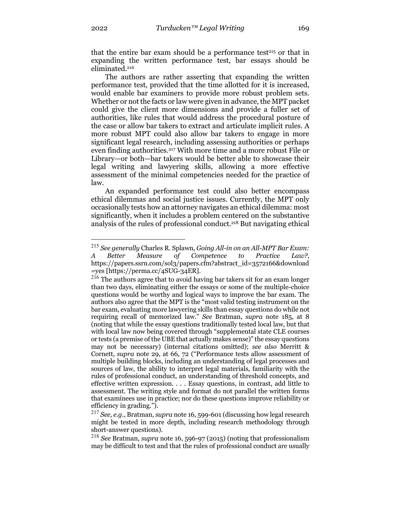that the entire bar exam should be a performance test<sup>215</sup> or that in expanding the written performance test, bar essays should be eliminated.216

The authors are rather asserting that expanding the written performance test, provided that the time allotted for it is increased, would enable bar examiners to provide more robust problem sets. Whether or not the facts or law were given in advance, the MPT packet could give the client more dimensions and provide a fuller set of authorities, like rules that would address the procedural posture of the case or allow bar takers to extract and articulate implicit rules. A more robust MPT could also allow bar takers to engage in more significant legal research, including assessing authorities or perhaps even finding authorities.217 With more time and a more robust File or Library—or both—bar takers would be better able to showcase their legal writing and lawyering skills, allowing a more effective assessment of the minimal competencies needed for the practice of law.

An expanded performance test could also better encompass ethical dilemmas and social justice issues. Currently, the MPT only occasionally tests how an attorney navigates an ethical dilemma: most significantly, when it includes a problem centered on the substantive analysis of the rules of professional conduct.218 But navigating ethical

<sup>215</sup> *See generally* Charles R. Splawn, *Going All-in on an All-MPT Bar Exam: A Better Measure of Competence to Practice Law?*, https://papers.ssrn.com/sol3/papers.cfm?abstract\_id=3572166&download =yes [https://perma.cc/4SUG-34ER].

<sup>&</sup>lt;sup>216</sup> The authors agree that to avoid having bar takers sit for an exam longer than two days, eliminating either the essays or some of the multiple-choice questions would be worthy and logical ways to improve the bar exam. The authors also agree that the MPT is the "most valid testing instrument on the bar exam, evaluating more lawyering skills than essay questions do while not requiring recall of memorized law." *See* Bratman, *supra* note 185, at 8 (noting that while the essay questions traditionally tested local law, but that with local law now being covered through "supplemental state CLE courses or tests (a premise of the UBE that actually makes sense)" the essay questions may not be necessary) (internal citations omitted); *see also* Merritt & Cornett, *supra* note 29, at 66, 72 ("Performance tests allow assessment of multiple building blocks, including an understanding of legal processes and sources of law, the ability to interpret legal materials, familiarity with the rules of professional conduct, an understanding of threshold concepts, and effective written expression. . . . Essay questions, in contrast, add little to assessment. The writing style and format do not parallel the written forms that examinees use in practice; nor do these questions improve reliability or efficiency in grading.").

<sup>217</sup> *See, e.g.*, Bratman, *supra* note 16, 599-601 (discussing how legal research might be tested in more depth, including research methodology through short-answer questions).

<sup>218</sup> *See* Bratman, *supra* note 16, 596-97 (2015) (noting that professionalism may be difficult to test and that the rules of professional conduct are usually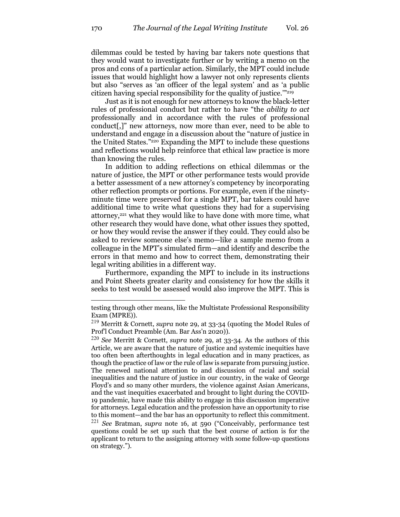dilemmas could be tested by having bar takers note questions that they would want to investigate further or by writing a memo on the pros and cons of a particular action. Similarly, the MPT could include issues that would highlight how a lawyer not only represents clients but also "serves as 'an officer of the legal system' and as 'a public citizen having special responsibility for the quality of justice.'"219

Just as it is not enough for new attorneys to know the black-letter rules of professional conduct but rather to have "the *ability to act*  professionally and in accordance with the rules of professional conduct[,]" new attorneys, now more than ever, need to be able to understand and engage in a discussion about the "nature of justice in the United States."220 Expanding the MPT to include these questions and reflections would help reinforce that ethical law practice is more than knowing the rules.

In addition to adding reflections on ethical dilemmas or the nature of justice, the MPT or other performance tests would provide a better assessment of a new attorney's competency by incorporating other reflection prompts or portions. For example, even if the ninetyminute time were preserved for a single MPT, bar takers could have additional time to write what questions they had for a supervising attorney,<sup>221</sup> what they would like to have done with more time, what other research they would have done, what other issues they spotted, or how they would revise the answer if they could. They could also be asked to review someone else's memo—like a sample memo from a colleague in the MPT's simulated firm—and identify and describe the errors in that memo and how to correct them, demonstrating their legal writing abilities in a different way.

Furthermore, expanding the MPT to include in its instructions and Point Sheets greater clarity and consistency for how the skills it seeks to test would be assessed would also improve the MPT. This is

testing through other means, like the Multistate Professional Responsibility Exam (MPRE)).

<sup>219</sup> Merritt & Cornett, *supra* note 29, at 33-34 (quoting the Model Rules of Prof'l Conduct Preamble (Am. Bar Ass'n 2020)).

<sup>220</sup> *See* Merritt & Cornett, *supra* note 29, at 33-34. As the authors of this Article, we are aware that the nature of justice and systemic inequities have too often been afterthoughts in legal education and in many practices, as though the practice of law or the rule of law is separate from pursuing justice. The renewed national attention to and discussion of racial and social inequalities and the nature of justice in our country, in the wake of George Floyd's and so many other murders, the violence against Asian Americans, and the vast inequities exacerbated and brought to light during the COVID-19 pandemic, have made this ability to engage in this discussion imperative for attorneys. Legal education and the profession have an opportunity to rise to this moment—and the bar has an opportunity to reflect this commitment. <sup>221</sup> *See* Bratman, *supra* note 16, at 590 ("Conceivably, performance test questions could be set up such that the best course of action is for the applicant to return to the assigning attorney with some follow-up questions on strategy.").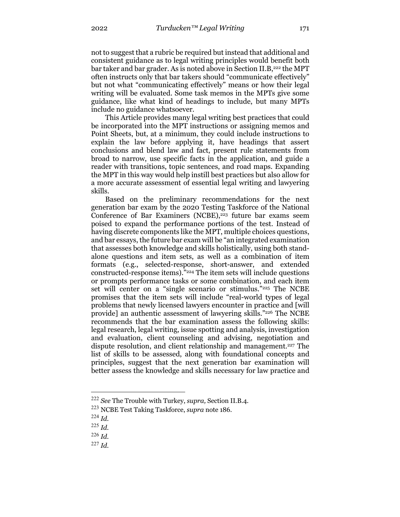not to suggest that a rubric be required but instead that additional and consistent guidance as to legal writing principles would benefit both bar taker and bar grader. As is noted above in Section II.B,<sup>222</sup> the MPT often instructs only that bar takers should "communicate effectively" but not what "communicating effectively" means or how their legal writing will be evaluated. Some task memos in the MPTs give some guidance, like what kind of headings to include, but many MPTs include no guidance whatsoever.

This Article provides many legal writing best practices that could be incorporated into the MPT instructions or assigning memos and Point Sheets, but, at a minimum, they could include instructions to explain the law before applying it, have headings that assert conclusions and blend law and fact, present rule statements from broad to narrow, use specific facts in the application, and guide a reader with transitions, topic sentences, and road maps. Expanding the MPT in this way would help instill best practices but also allow for a more accurate assessment of essential legal writing and lawyering skills.

Based on the preliminary recommendations for the next generation bar exam by the 2020 Testing Taskforce of the National Conference of Bar Examiners (NCBE), $223$  future bar exams seem poised to expand the performance portions of the test. Instead of having discrete components like the MPT, multiple choices questions, and bar essays, the future bar exam will be "an integrated examination that assesses both knowledge and skills holistically, using both standalone questions and item sets, as well as a combination of item formats (e.g., selected-response, short-answer, and extended constructed-response items)."224 The item sets will include questions or prompts performance tasks or some combination, and each item set will center on a "single scenario or stimulus."<sup>225</sup> The NCBE promises that the item sets will include "real-world types of legal problems that newly licensed lawyers encounter in practice and [will provide] an authentic assessment of lawyering skills."226 The NCBE recommends that the bar examination assess the following skills: legal research, legal writing, issue spotting and analysis, investigation and evaluation, client counseling and advising, negotiation and dispute resolution, and client relationship and management.<sup>227</sup> The list of skills to be assessed, along with foundational concepts and principles, suggest that the next generation bar examination will better assess the knowledge and skills necessary for law practice and

<sup>222</sup> *See* The Trouble with Turkey, *supra,* Section II.B.4.

<sup>223</sup> NCBE Test Taking Taskforce, *supra* note 186.

<sup>224</sup> *Id.*

<sup>225</sup> *Id.*

<sup>226</sup> *Id.*

<sup>227</sup> *Id.*